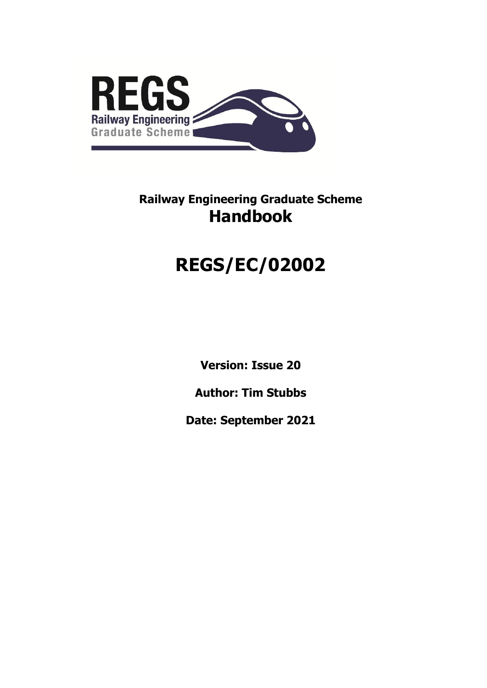

# **REGS/EC/02002**

**Version: Issue 20**

**Author: Tim Stubbs**

**Date: September 2021**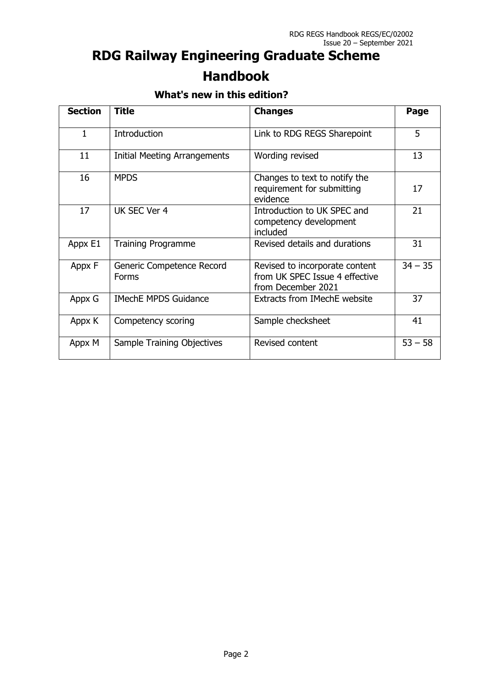### **What's new in this edition?**

| <b>Section</b> | <b>Title</b>                        | <b>Changes</b>                                                                         | Page      |
|----------------|-------------------------------------|----------------------------------------------------------------------------------------|-----------|
| $\mathbf{1}$   | <b>Introduction</b>                 | Link to RDG REGS Sharepoint                                                            | 5         |
| 11             | <b>Initial Meeting Arrangements</b> | Wording revised                                                                        | 13        |
| 16             | <b>MPDS</b>                         | Changes to text to notify the<br>requirement for submitting<br>evidence                | 17        |
| 17             | UK SEC Ver 4                        | Introduction to UK SPEC and<br>competency development<br>included                      | 21        |
| Appx E1        | <b>Training Programme</b>           | Revised details and durations                                                          | 31        |
| Appx F         | Generic Competence Record<br>Forms  | Revised to incorporate content<br>from UK SPEC Issue 4 effective<br>from December 2021 | $34 - 35$ |
| Appx G         | <b>IMechE MPDS Guidance</b>         | <b>Extracts from IMechE website</b>                                                    | 37        |
| Appx K         | Competency scoring                  | Sample checksheet                                                                      | 41        |
| Appx M         | Sample Training Objectives          | Revised content                                                                        | $53 - 58$ |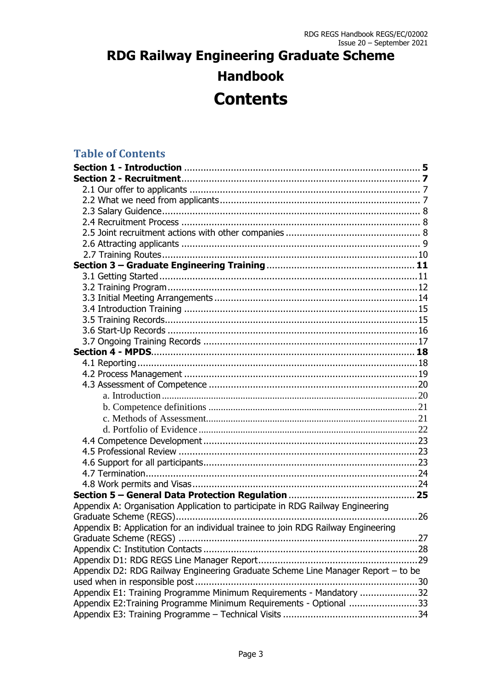### **Table of Contents**

| Appendix A: Organisation Application to participate in RDG Railway Engineering    |
|-----------------------------------------------------------------------------------|
|                                                                                   |
| Appendix B: Application for an individual trainee to join RDG Railway Engineering |
|                                                                                   |
|                                                                                   |
|                                                                                   |
| Appendix D2: RDG Railway Engineering Graduate Scheme Line Manager Report - to be  |
|                                                                                   |
| Appendix E1: Training Programme Minimum Requirements - Mandatory 32               |
| Appendix E2: Training Programme Minimum Requirements - Optional 33                |
|                                                                                   |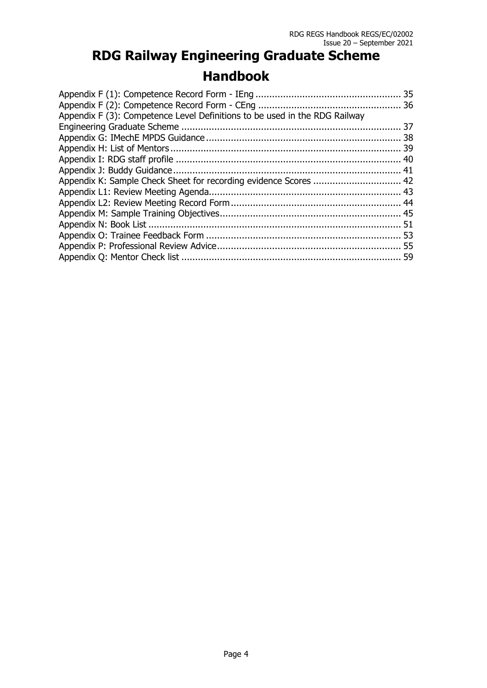| Appendix F (3): Competence Level Definitions to be used in the RDG Railway |  |
|----------------------------------------------------------------------------|--|
|                                                                            |  |
|                                                                            |  |
|                                                                            |  |
|                                                                            |  |
|                                                                            |  |
| Appendix K: Sample Check Sheet for recording evidence Scores  42           |  |
|                                                                            |  |
|                                                                            |  |
|                                                                            |  |
|                                                                            |  |
|                                                                            |  |
|                                                                            |  |
|                                                                            |  |
|                                                                            |  |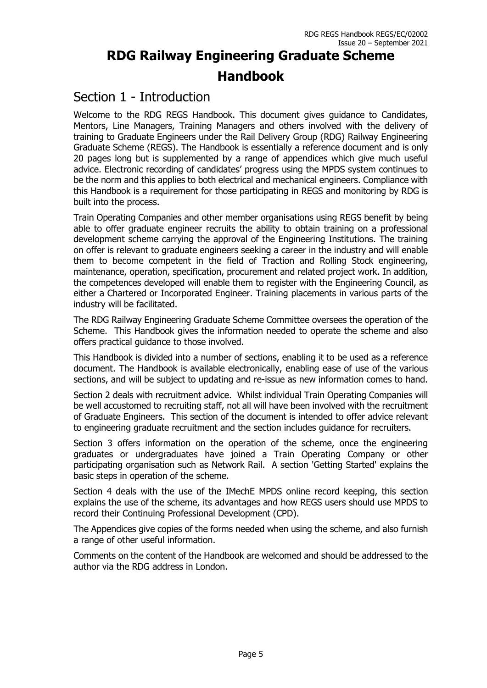### Section 1 - Introduction

Welcome to the RDG REGS Handbook. This document gives guidance to Candidates, Mentors, Line Managers, Training Managers and others involved with the delivery of training to Graduate Engineers under the Rail Delivery Group (RDG) Railway Engineering Graduate Scheme (REGS). The Handbook is essentially a reference document and is only 20 pages long but is supplemented by a range of appendices which give much useful advice. Electronic recording of candidates' progress using the MPDS system continues to be the norm and this applies to both electrical and mechanical engineers. Compliance with this Handbook is a requirement for those participating in REGS and monitoring by RDG is built into the process.

Train Operating Companies and other member organisations using REGS benefit by being able to offer graduate engineer recruits the ability to obtain training on a professional development scheme carrying the approval of the Engineering Institutions. The training on offer is relevant to graduate engineers seeking a career in the industry and will enable them to become competent in the field of Traction and Rolling Stock engineering, maintenance, operation, specification, procurement and related project work. In addition, the competences developed will enable them to register with the Engineering Council, as either a Chartered or Incorporated Engineer. Training placements in various parts of the industry will be facilitated.

The RDG Railway Engineering Graduate Scheme Committee oversees the operation of the Scheme. This Handbook gives the information needed to operate the scheme and also offers practical guidance to those involved.

This Handbook is divided into a number of sections, enabling it to be used as a reference document. The Handbook is available electronically, enabling ease of use of the various sections, and will be subject to updating and re-issue as new information comes to hand.

Section 2 deals with recruitment advice. Whilst individual Train Operating Companies will be well accustomed to recruiting staff, not all will have been involved with the recruitment of Graduate Engineers. This section of the document is intended to offer advice relevant to engineering graduate recruitment and the section includes guidance for recruiters.

Section 3 offers information on the operation of the scheme, once the engineering graduates or undergraduates have joined a Train Operating Company or other participating organisation such as Network Rail. A section 'Getting Started' explains the basic steps in operation of the scheme.

Section 4 deals with the use of the IMechE MPDS online record keeping, this section explains the use of the scheme, its advantages and how REGS users should use MPDS to record their Continuing Professional Development (CPD).

The Appendices give copies of the forms needed when using the scheme, and also furnish a range of other useful information.

Comments on the content of the Handbook are welcomed and should be addressed to the author via the RDG address in London.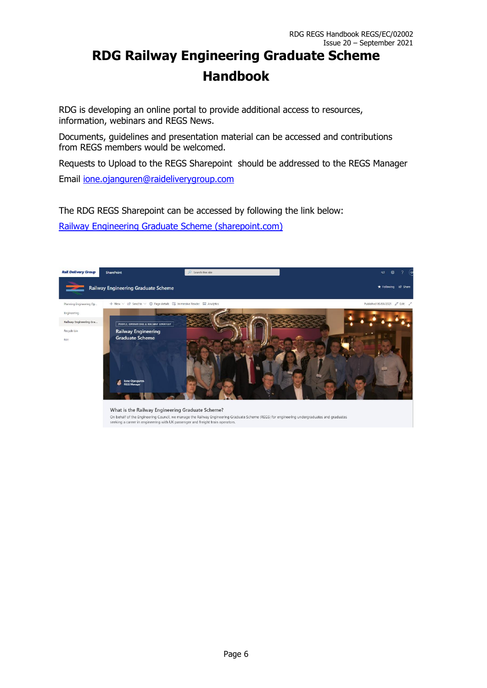RDG is developing an online portal to provide additional access to resources, information, webinars and REGS News.

Documents, guidelines and presentation material can be accessed and contributions from REGS members would be welcomed.

Requests to Upload to the REGS Sharepoint should be addressed to the REGS Manager Email [ione.ojanguren@raideliverygroup.com](mailto:ione.ojanguren@raideliverygroup.com) 

The RDG REGS Sharepoint can be accessed by following the link below:

[Railway Engineering Graduate Scheme \(sharepoint.com\)](https://atoc.sharepoint.com/sites/PlanEngOpsExt/REGS/SitePages/Railway-Engineering-Graduate-Scheme.aspx?e=1:666209a384224e018bc054628ea44371) 

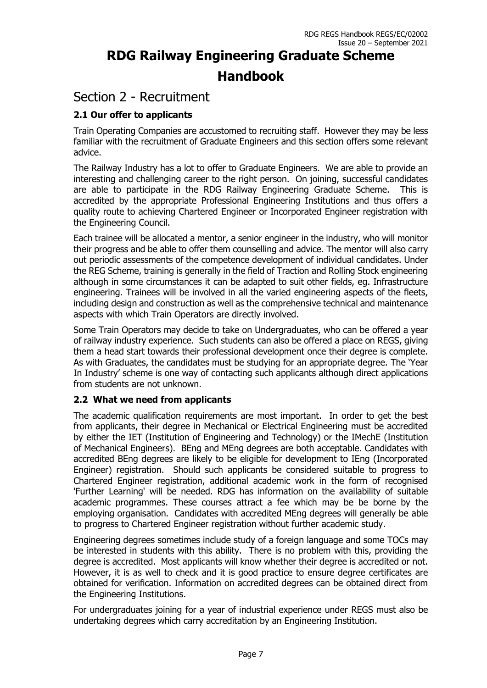### Section 2 - Recruitment

### **2.1 Our offer to applicants**

Train Operating Companies are accustomed to recruiting staff. However they may be less familiar with the recruitment of Graduate Engineers and this section offers some relevant advice.

The Railway Industry has a lot to offer to Graduate Engineers. We are able to provide an interesting and challenging career to the right person. On joining, successful candidates are able to participate in the RDG Railway Engineering Graduate Scheme. This is accredited by the appropriate Professional Engineering Institutions and thus offers a quality route to achieving Chartered Engineer or Incorporated Engineer registration with the Engineering Council.

Each trainee will be allocated a mentor, a senior engineer in the industry, who will monitor their progress and be able to offer them counselling and advice. The mentor will also carry out periodic assessments of the competence development of individual candidates. Under the REG Scheme, training is generally in the field of Traction and Rolling Stock engineering although in some circumstances it can be adapted to suit other fields, eg. Infrastructure engineering. Trainees will be involved in all the varied engineering aspects of the fleets, including design and construction as well as the comprehensive technical and maintenance aspects with which Train Operators are directly involved.

Some Train Operators may decide to take on Undergraduates, who can be offered a year of railway industry experience. Such students can also be offered a place on REGS, giving them a head start towards their professional development once their degree is complete. As with Graduates, the candidates must be studying for an appropriate degree. The 'Year In Industry' scheme is one way of contacting such applicants although direct applications from students are not unknown.

#### **2.2 What we need from applicants**

The academic qualification requirements are most important. In order to get the best from applicants, their degree in Mechanical or Electrical Engineering must be accredited by either the IET (Institution of Engineering and Technology) or the IMechE (Institution of Mechanical Engineers). BEng and MEng degrees are both acceptable. Candidates with accredited BEng degrees are likely to be eligible for development to IEng (Incorporated Engineer) registration. Should such applicants be considered suitable to progress to Chartered Engineer registration, additional academic work in the form of recognised 'Further Learning' will be needed. RDG has information on the availability of suitable academic programmes. These courses attract a fee which may be be borne by the employing organisation. Candidates with accredited MEng degrees will generally be able to progress to Chartered Engineer registration without further academic study.

Engineering degrees sometimes include study of a foreign language and some TOCs may be interested in students with this ability. There is no problem with this, providing the degree is accredited. Most applicants will know whether their degree is accredited or not. However, it is as well to check and it is good practice to ensure degree certificates are obtained for verification. Information on accredited degrees can be obtained direct from the Engineering Institutions.

For undergraduates joining for a year of industrial experience under REGS must also be undertaking degrees which carry accreditation by an Engineering Institution.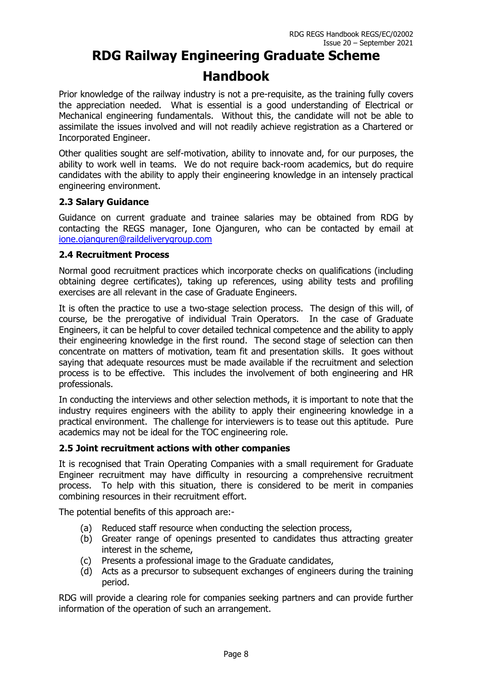Prior knowledge of the railway industry is not a pre-requisite, as the training fully covers the appreciation needed. What is essential is a good understanding of Electrical or Mechanical engineering fundamentals. Without this, the candidate will not be able to assimilate the issues involved and will not readily achieve registration as a Chartered or Incorporated Engineer.

Other qualities sought are self-motivation, ability to innovate and, for our purposes, the ability to work well in teams. We do not require back-room academics, but do require candidates with the ability to apply their engineering knowledge in an intensely practical engineering environment.

#### **2.3 Salary Guidance**

Guidance on current graduate and trainee salaries may be obtained from RDG by contacting the REGS manager, Ione Ojanguren, who can be contacted by email at [ione.ojanguren@raildeliverygroup.com](mailto:ione.ojanguren@raildeliverygroup.com)

#### **2.4 Recruitment Process**

Normal good recruitment practices which incorporate checks on qualifications (including obtaining degree certificates), taking up references, using ability tests and profiling exercises are all relevant in the case of Graduate Engineers.

It is often the practice to use a two-stage selection process. The design of this will, of course, be the prerogative of individual Train Operators. In the case of Graduate Engineers, it can be helpful to cover detailed technical competence and the ability to apply their engineering knowledge in the first round. The second stage of selection can then concentrate on matters of motivation, team fit and presentation skills. It goes without saying that adequate resources must be made available if the recruitment and selection process is to be effective. This includes the involvement of both engineering and HR professionals.

In conducting the interviews and other selection methods, it is important to note that the industry requires engineers with the ability to apply their engineering knowledge in a practical environment. The challenge for interviewers is to tease out this aptitude. Pure academics may not be ideal for the TOC engineering role.

#### **2.5 Joint recruitment actions with other companies**

It is recognised that Train Operating Companies with a small requirement for Graduate Engineer recruitment may have difficulty in resourcing a comprehensive recruitment process. To help with this situation, there is considered to be merit in companies combining resources in their recruitment effort.

The potential benefits of this approach are:-

- (a) Reduced staff resource when conducting the selection process,
- (b) Greater range of openings presented to candidates thus attracting greater interest in the scheme,
- (c) Presents a professional image to the Graduate candidates,
- (d) Acts as a precursor to subsequent exchanges of engineers during the training period.

RDG will provide a clearing role for companies seeking partners and can provide further information of the operation of such an arrangement.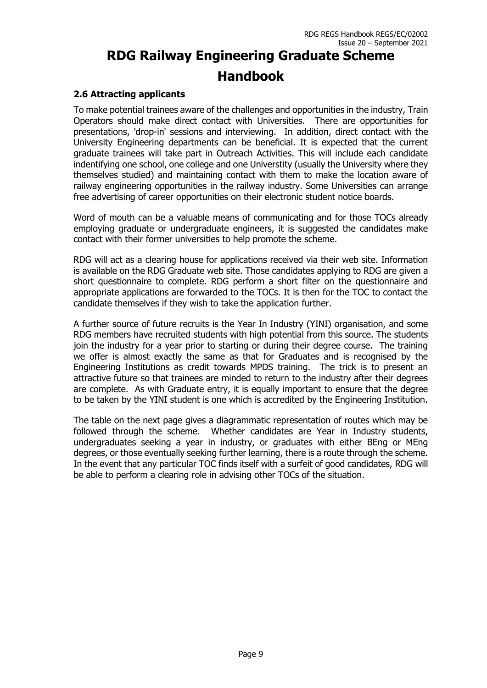#### **2.6 Attracting applicants**

To make potential trainees aware of the challenges and opportunities in the industry, Train Operators should make direct contact with Universities. There are opportunities for presentations, 'drop-in' sessions and interviewing. In addition, direct contact with the University Engineering departments can be beneficial. It is expected that the current graduate trainees will take part in Outreach Activities. This will include each candidate indentifying one school, one college and one Universtity (usually the University where they themselves studied) and maintaining contact with them to make the location aware of railway engineering opportunities in the railway industry. Some Universities can arrange free advertising of career opportunities on their electronic student notice boards.

Word of mouth can be a valuable means of communicating and for those TOCs already employing graduate or undergraduate engineers, it is suggested the candidates make contact with their former universities to help promote the scheme.

RDG will act as a clearing house for applications received via their web site. Information is available on the RDG Graduate web site. Those candidates applying to RDG are given a short questionnaire to complete. RDG perform a short filter on the questionnaire and appropriate applications are forwarded to the TOCs. It is then for the TOC to contact the candidate themselves if they wish to take the application further.

A further source of future recruits is the Year In Industry (YINI) organisation, and some RDG members have recruited students with high potential from this source. The students join the industry for a year prior to starting or during their degree course. The training we offer is almost exactly the same as that for Graduates and is recognised by the Engineering Institutions as credit towards MPDS training. The trick is to present an attractive future so that trainees are minded to return to the industry after their degrees are complete. As with Graduate entry, it is equally important to ensure that the degree to be taken by the YINI student is one which is accredited by the Engineering Institution.

The table on the next page gives a diagrammatic representation of routes which may be followed through the scheme. Whether candidates are Year in Industry students, undergraduates seeking a year in industry, or graduates with either BEng or MEng degrees, or those eventually seeking further learning, there is a route through the scheme. In the event that any particular TOC finds itself with a surfeit of good candidates, RDG will be able to perform a clearing role in advising other TOCs of the situation.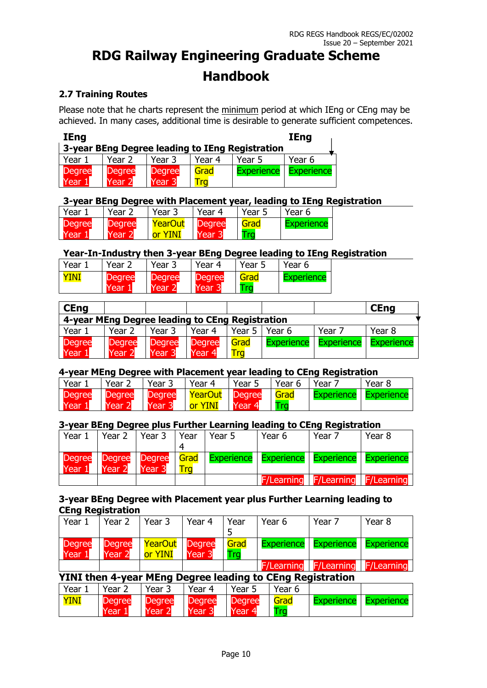### **2.7 Training Routes**

Please note that he charts represent the minimum period at which IEng or CEng may be achieved. In many cases, additional time is desirable to generate sufficient competences.

| <b>IEng</b>                                     |               |                   |        |                   | <b>IEng</b>       |  |  |  |
|-------------------------------------------------|---------------|-------------------|--------|-------------------|-------------------|--|--|--|
| 3-year BEng Degree leading to IEng Registration |               |                   |        |                   |                   |  |  |  |
| Year 1                                          | Year 2        | Year 3            | Year 4 | Year 5            | Year 6            |  |  |  |
| <b>Degree</b>                                   | <b>Degree</b> | <b>Degree</b>     | Grad   | <b>Experience</b> | <b>Experience</b> |  |  |  |
| Year 1                                          | Year 2        | Year <sub>3</sub> |        |                   |                   |  |  |  |

#### **3-year BEng Degree with Placement year, leading to IEng Registration**

| Year.         | Year          | Year 3            | Year 4        | Year 5 | Year 6     |
|---------------|---------------|-------------------|---------------|--------|------------|
| <b>Degree</b> | <b>Degree</b> | YearOut           | <b>Degree</b> | Grad   | Experience |
| Year          | <b>TYear</b>  | <u>YINI</u><br>nr | Year          | Tra    |            |

#### **Year-In-Industry then 3-year BEng Degree leading to IEng Registration**

| Year | Year.                 | Year .         | Year 4                | Year 5       | Year 6    |
|------|-----------------------|----------------|-----------------------|--------------|-----------|
| YINI | <b>Degree</b><br>Year | Degree<br>Year | <b>Degree</b><br>Year | Grad<br>l ra | xperience |

| <b>CEng</b>                                     |                         |                         |                         |             |                   |                   | <b>CEng</b>       |
|-------------------------------------------------|-------------------------|-------------------------|-------------------------|-------------|-------------------|-------------------|-------------------|
| 4-year MEng Degree leading to CEng Registration |                         |                         |                         |             |                   |                   |                   |
| Year 1                                          | Year 2                  | Year 3                  | Year 4                  | Year 5      | Year 6            | Year 7            | Year 8            |
| <b>Degree</b><br>Year                           | <b>Degree</b><br>Year 2 | <b>Degree</b><br>Year ! | <b>Degree</b><br>Year 4 | Grad<br>Tra | <b>Experience</b> | <b>Experience</b> | <b>Experience</b> |

#### **4-year MEng Degree with Placement year leading to CEng Registration**

| Year          | Year.         | Year.         | Year 4  | Year 5        | Year 6      | Year              | Year 8     |
|---------------|---------------|---------------|---------|---------------|-------------|-------------------|------------|
| <b>Degree</b> | <b>Degree</b> | <b>Degree</b> | YearOut | <b>Degree</b> | <b>Grad</b> | <b>Experience</b> | Experience |
| Year          | Year:         | Year 1        | or YINI | Year 4        | l ra        |                   |            |

#### **3-year BEng Degree plus Further Learning leading to CEng Registration**

| Year 1        | Year 2 | Year 3                   | Year       | Year 5                                                   | Year 6 | Year 7                                  | Year 8 |
|---------------|--------|--------------------------|------------|----------------------------------------------------------|--------|-----------------------------------------|--------|
|               |        |                          |            |                                                          |        |                                         |        |
| <b>Degree</b> | Degree | Degree                   |            | Grad   Experience   Experience   Experience   Experience |        |                                         |        |
| Year 1        | Year 2 | <b>Near</b> <sup>2</sup> | <b>Tra</b> |                                                          |        |                                         |        |
|               |        |                          |            |                                                          |        | <b>F/Learning F/Learning F/Learning</b> |        |

#### **3-year BEng Degree with Placement year plus Further Learning leading to CEng Registration**

| Year 1                  | Year 2                  | Year 3                  | Year 4                             | Year<br>5               | Year 6                                                    | Year 7            | Year 8            |
|-------------------------|-------------------------|-------------------------|------------------------------------|-------------------------|-----------------------------------------------------------|-------------------|-------------------|
| <b>Degree</b><br>Year 1 | <b>Degree</b><br>Year 2 | YearOut<br>or YINI      | <b>Degree</b><br>Year 3            | Grad<br>Trg             | <b>Experience</b>                                         | <b>Experience</b> | <b>Experience</b> |
|                         |                         |                         |                                    |                         | <b>F/Learning</b>                                         | <b>F/Learning</b> | <b>F/Learning</b> |
|                         |                         |                         |                                    |                         | YINI then 4-year MEng Degree leading to CEng Registration |                   |                   |
| Year 1                  | Year 2                  | Year 3                  | Year 4                             | Year 5                  | Year 6                                                    |                   |                   |
| YINI                    | <b>Degree</b><br>Year 1 | <b>Degree</b><br>Year 2 | <b>Degree</b><br>Year <sub>3</sub> | <b>Degree</b><br>Year 4 | Grad<br>Trq                                               | <b>Experience</b> | <b>Experience</b> |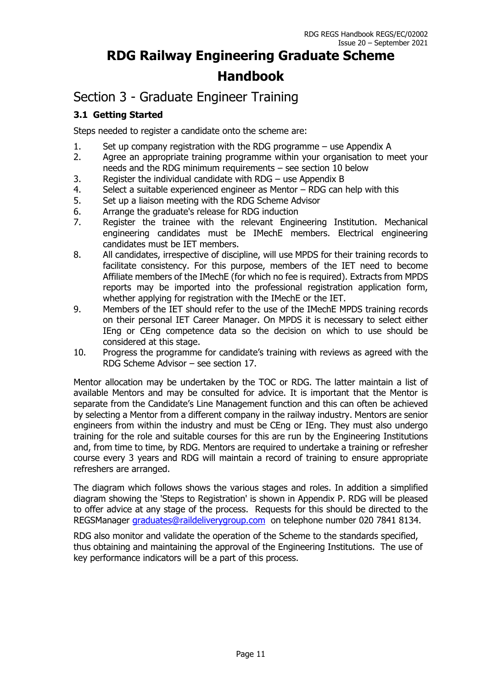### Section 3 - Graduate Engineer Training

### **3.1 Getting Started**

Steps needed to register a candidate onto the scheme are:

- 1. Set up company registration with the RDG programme use Appendix A
- 2. Agree an appropriate training programme within your organisation to meet your needs and the RDG minimum requirements – see section 10 below
- 3. Register the individual candidate with RDG use Appendix B
- 4. Select a suitable experienced engineer as Mentor RDG can help with this
- 5. Set up a liaison meeting with the RDG Scheme Advisor
- 6. Arrange the graduate's release for RDG induction
- 7. Register the trainee with the relevant Engineering Institution. Mechanical engineering candidates must be IMechE members. Electrical engineering candidates must be IET members.
- 8. All candidates, irrespective of discipline, will use MPDS for their training records to facilitate consistency. For this purpose, members of the IET need to become Affiliate members of the IMechE (for which no fee is required). Extracts from MPDS reports may be imported into the professional registration application form, whether applying for registration with the IMechE or the IET.
- 9. Members of the IET should refer to the use of the IMechE MPDS training records on their personal IET Career Manager. On MPDS it is necessary to select either IEng or CEng competence data so the decision on which to use should be considered at this stage.
- 10. Progress the programme for candidate's training with reviews as agreed with the RDG Scheme Advisor – see section 17.

Mentor allocation may be undertaken by the TOC or RDG. The latter maintain a list of available Mentors and may be consulted for advice. It is important that the Mentor is separate from the Candidate's Line Management function and this can often be achieved by selecting a Mentor from a different company in the railway industry. Mentors are senior engineers from within the industry and must be CEng or IEng. They must also undergo training for the role and suitable courses for this are run by the Engineering Institutions and, from time to time, by RDG. Mentors are required to undertake a training or refresher course every 3 years and RDG will maintain a record of training to ensure appropriate refreshers are arranged.

The diagram which follows shows the various stages and roles. In addition a simplified diagram showing the 'Steps to Registration' is shown in Appendix P. RDG will be pleased to offer advice at any stage of the process. Requests for this should be directed to the REGSManager [graduates@raildeliverygroup.com](mailto:graduates@raildeliverygroup.com) on telephone number 020 7841 8134.

RDG also monitor and validate the operation of the Scheme to the standards specified, thus obtaining and maintaining the approval of the Engineering Institutions. The use of key performance indicators will be a part of this process.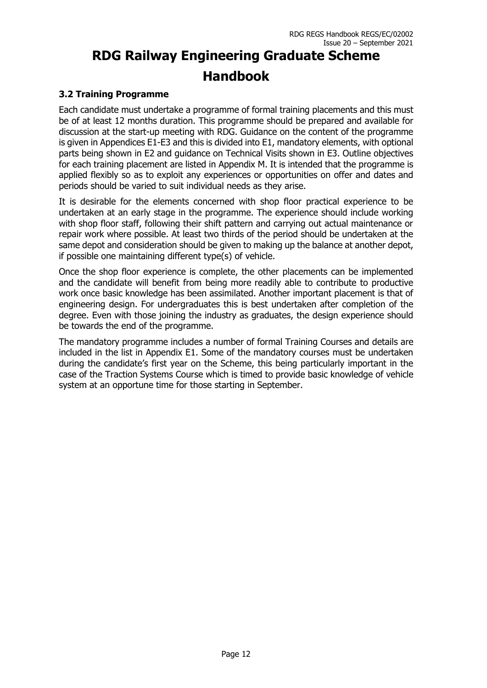### **3.2 Training Programme**

Each candidate must undertake a programme of formal training placements and this must be of at least 12 months duration. This programme should be prepared and available for discussion at the start-up meeting with RDG. Guidance on the content of the programme is given in Appendices E1-E3 and this is divided into E1, mandatory elements, with optional parts being shown in E2 and guidance on Technical Visits shown in E3. Outline objectives for each training placement are listed in Appendix M. It is intended that the programme is applied flexibly so as to exploit any experiences or opportunities on offer and dates and periods should be varied to suit individual needs as they arise.

It is desirable for the elements concerned with shop floor practical experience to be undertaken at an early stage in the programme. The experience should include working with shop floor staff, following their shift pattern and carrying out actual maintenance or repair work where possible. At least two thirds of the period should be undertaken at the same depot and consideration should be given to making up the balance at another depot, if possible one maintaining different type(s) of vehicle.

Once the shop floor experience is complete, the other placements can be implemented and the candidate will benefit from being more readily able to contribute to productive work once basic knowledge has been assimilated. Another important placement is that of engineering design. For undergraduates this is best undertaken after completion of the degree. Even with those joining the industry as graduates, the design experience should be towards the end of the programme.

The mandatory programme includes a number of formal Training Courses and details are included in the list in Appendix E1. Some of the mandatory courses must be undertaken during the candidate's first year on the Scheme, this being particularly important in the case of the Traction Systems Course which is timed to provide basic knowledge of vehicle system at an opportune time for those starting in September.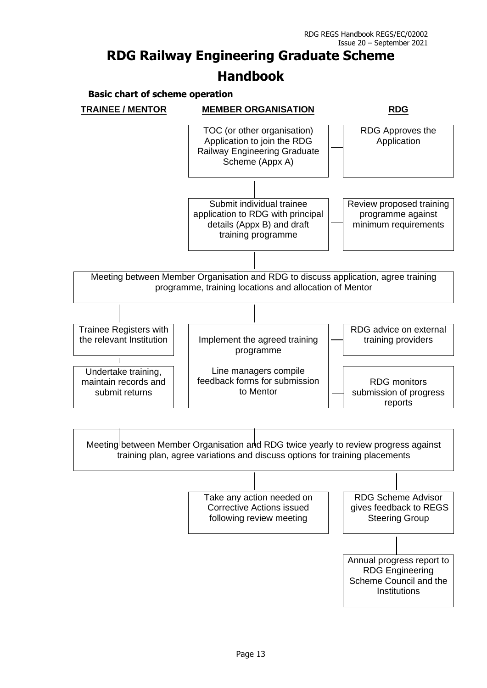**Basic chart of scheme operation**

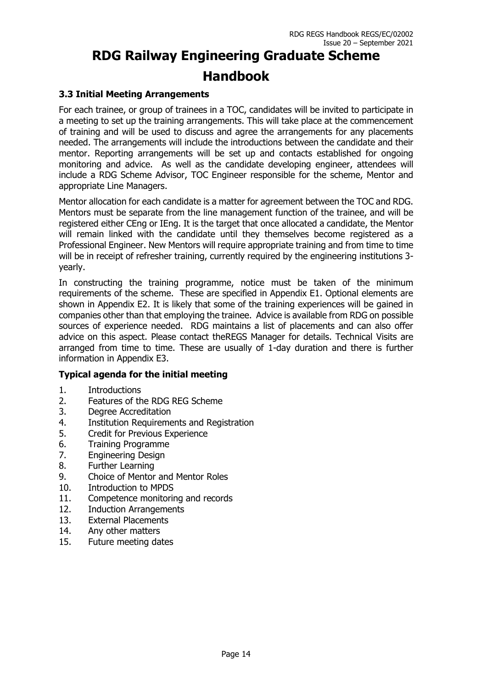#### **3.3 Initial Meeting Arrangements**

For each trainee, or group of trainees in a TOC, candidates will be invited to participate in a meeting to set up the training arrangements. This will take place at the commencement of training and will be used to discuss and agree the arrangements for any placements needed. The arrangements will include the introductions between the candidate and their mentor. Reporting arrangements will be set up and contacts established for ongoing monitoring and advice. As well as the candidate developing engineer, attendees will include a RDG Scheme Advisor, TOC Engineer responsible for the scheme, Mentor and appropriate Line Managers.

Mentor allocation for each candidate is a matter for agreement between the TOC and RDG. Mentors must be separate from the line management function of the trainee, and will be registered either CEng or IEng. It is the target that once allocated a candidate, the Mentor will remain linked with the candidate until they themselves become registered as a Professional Engineer. New Mentors will require appropriate training and from time to time will be in receipt of refresher training, currently required by the engineering institutions 3 yearly.

In constructing the training programme, notice must be taken of the minimum requirements of the scheme. These are specified in Appendix E1. Optional elements are shown in Appendix E2. It is likely that some of the training experiences will be gained in companies other than that employing the trainee. Advice is available from RDG on possible sources of experience needed. RDG maintains a list of placements and can also offer advice on this aspect. Please contact theREGS Manager for details. Technical Visits are arranged from time to time. These are usually of 1-day duration and there is further information in Appendix E3.

#### **Typical agenda for the initial meeting**

- 1. Introductions
- 2. Features of the RDG REG Scheme
- 3. Degree Accreditation
- 4. Institution Requirements and Registration
- 5. Credit for Previous Experience
- 6. Training Programme
- 7. Engineering Design
- 8. Further Learning
- 9. Choice of Mentor and Mentor Roles
- 10. Introduction to MPDS
- 11. Competence monitoring and records
- 12. Induction Arrangements
- 13. External Placements
- 14. Any other matters
- 15. Future meeting dates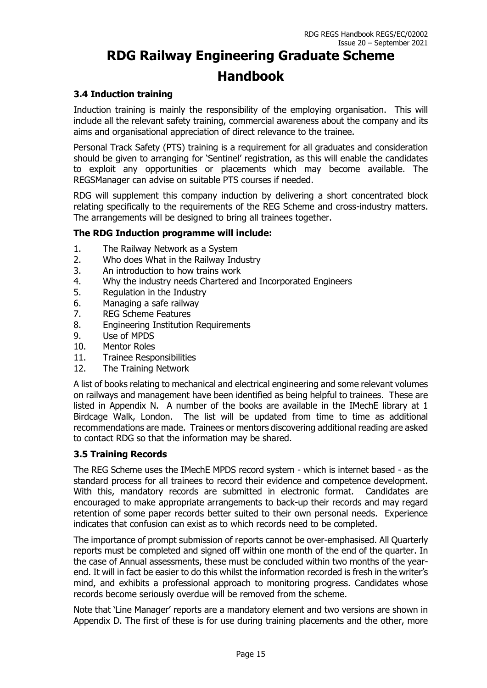#### **3.4 Induction training**

Induction training is mainly the responsibility of the employing organisation. This will include all the relevant safety training, commercial awareness about the company and its aims and organisational appreciation of direct relevance to the trainee.

Personal Track Safety (PTS) training is a requirement for all graduates and consideration should be given to arranging for 'Sentinel' registration, as this will enable the candidates to exploit any opportunities or placements which may become available. The REGSManager can advise on suitable PTS courses if needed.

RDG will supplement this company induction by delivering a short concentrated block relating specifically to the requirements of the REG Scheme and cross-industry matters. The arrangements will be designed to bring all trainees together.

#### **The RDG Induction programme will include:**

- 1. The Railway Network as a System
- 2. Who does What in the Railway Industry
- 3. An introduction to how trains work
- 4. Why the industry needs Chartered and Incorporated Engineers
- 5. Regulation in the Industry
- 6. Managing a safe railway
- 7. REG Scheme Features
- 8. Engineering Institution Requirements
- 9. Use of MPDS
- 10. Mentor Roles
- 11. Trainee Responsibilities
- 12. The Training Network

A list of books relating to mechanical and electrical engineering and some relevant volumes on railways and management have been identified as being helpful to trainees. These are listed in Appendix N. A number of the books are available in the IMechE library at 1 Birdcage Walk, London. The list will be updated from time to time as additional recommendations are made. Trainees or mentors discovering additional reading are asked to contact RDG so that the information may be shared.

#### **3.5 Training Records**

The REG Scheme uses the IMechE MPDS record system - which is internet based - as the standard process for all trainees to record their evidence and competence development. With this, mandatory records are submitted in electronic format. Candidates are encouraged to make appropriate arrangements to back-up their records and may regard retention of some paper records better suited to their own personal needs. Experience indicates that confusion can exist as to which records need to be completed.

The importance of prompt submission of reports cannot be over-emphasised. All Quarterly reports must be completed and signed off within one month of the end of the quarter. In the case of Annual assessments, these must be concluded within two months of the yearend. It will in fact be easier to do this whilst the information recorded is fresh in the writer's mind, and exhibits a professional approach to monitoring progress. Candidates whose records become seriously overdue will be removed from the scheme.

Note that 'Line Manager' reports are a mandatory element and two versions are shown in Appendix D. The first of these is for use during training placements and the other, more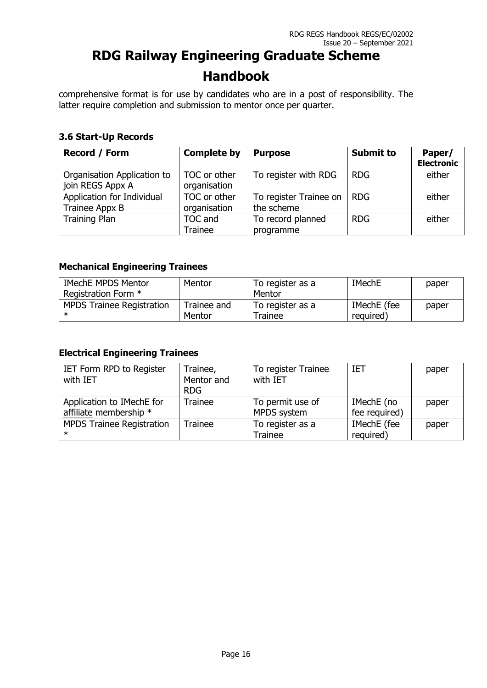comprehensive format is for use by candidates who are in a post of responsibility. The latter require completion and submission to mentor once per quarter.

#### **3.6 Start-Up Records**

| <b>Record / Form</b>                            | <b>Complete by</b>           | <b>Purpose</b>                             | <b>Submit to</b> | Paper/<br><b>Electronic</b> |
|-------------------------------------------------|------------------------------|--------------------------------------------|------------------|-----------------------------|
| Organisation Application to<br>join REGS Appx A | TOC or other<br>organisation | To register with RDG                       | <b>RDG</b>       | either                      |
| Application for Individual<br>Trainee Appx B    | TOC or other<br>organisation | To register Trainee on   RDG<br>the scheme |                  | either                      |
| <b>Training Plan</b>                            | TOC and<br>Trainee           | To record planned<br>programme             | <b>RDG</b>       | either                      |

#### **Mechanical Engineering Trainees**

| <b>IMechE MPDS Mentor</b>        | Mentor      | To register as a | <b>IMechE</b> | paper |
|----------------------------------|-------------|------------------|---------------|-------|
| Registration Form *              |             | Mentor           |               |       |
| <b>MPDS Trainee Registration</b> | Trainee and | To register as a | IMechE (fee   | paper |
|                                  | Mentor      | Trainee          | required)     |       |

#### **Electrical Engineering Trainees**

| IET Form RPD to Register         | Trainee,       | To register Trainee | <b>IET</b>    | paper |
|----------------------------------|----------------|---------------------|---------------|-------|
| with IET                         | Mentor and     | with IET            |               |       |
|                                  | <b>RDG</b>     |                     |               |       |
| Application to IMechE for        | <b>Trainee</b> | To permit use of    | IMechE (no    | paper |
| affiliate membership *           |                | MPDS system         | fee required) |       |
| <b>MPDS Trainee Registration</b> | Trainee        | To register as a    | IMechE (fee   | paper |
| $\ast$                           |                | Trainee             | required)     |       |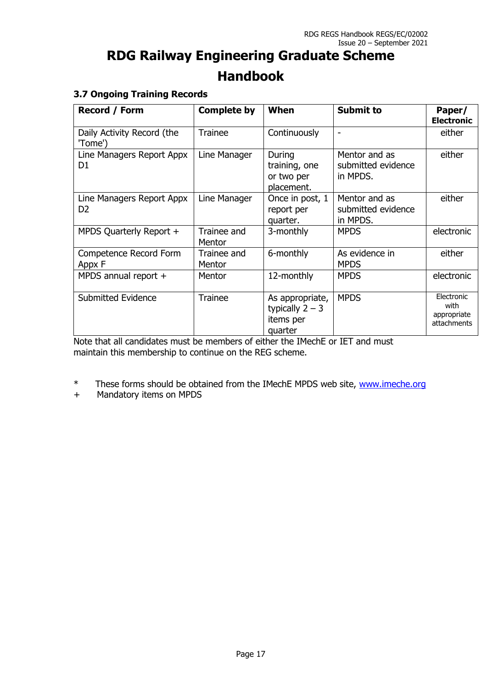#### **3.7 Ongoing Training Records**

| Record / Form                               | <b>Complete by</b>    | When                                                         | <b>Submit to</b>                                | Paper/<br><b>Electronic</b>                      |
|---------------------------------------------|-----------------------|--------------------------------------------------------------|-------------------------------------------------|--------------------------------------------------|
| Daily Activity Record (the<br>'Tome')       | <b>Trainee</b>        | Continuously                                                 | $\overline{a}$                                  | either                                           |
| Line Managers Report Appx<br>D <sub>1</sub> | Line Manager          | During<br>training, one<br>or two per<br>placement.          | Mentor and as<br>submitted evidence<br>in MPDS. | either                                           |
| Line Managers Report Appx<br>D <sub>2</sub> | Line Manager          | Once in post, 1<br>report per<br>quarter.                    | Mentor and as<br>submitted evidence<br>in MPDS. | either                                           |
| MPDS Quarterly Report +                     | Trainee and<br>Mentor | 3-monthly                                                    | <b>MPDS</b>                                     | electronic                                       |
| Competence Record Form<br>Appx F            | Trainee and<br>Mentor | 6-monthly                                                    | As evidence in<br><b>MPDS</b>                   | either                                           |
| MPDS annual report +                        | Mentor                | 12-monthly                                                   | <b>MPDS</b>                                     | electronic                                       |
| <b>Submitted Evidence</b>                   | <b>Trainee</b>        | As appropriate,<br>typically $2 - 3$<br>items per<br>quarter | <b>MPDS</b>                                     | Electronic<br>with<br>appropriate<br>attachments |

Note that all candidates must be members of either the IMechE or IET and must maintain this membership to continue on the REG scheme.

\* These forms should be obtained from the IMechE MPDS web site, [www.imeche.org](http://www.thempds.org.uk/)

+ Mandatory items on MPDS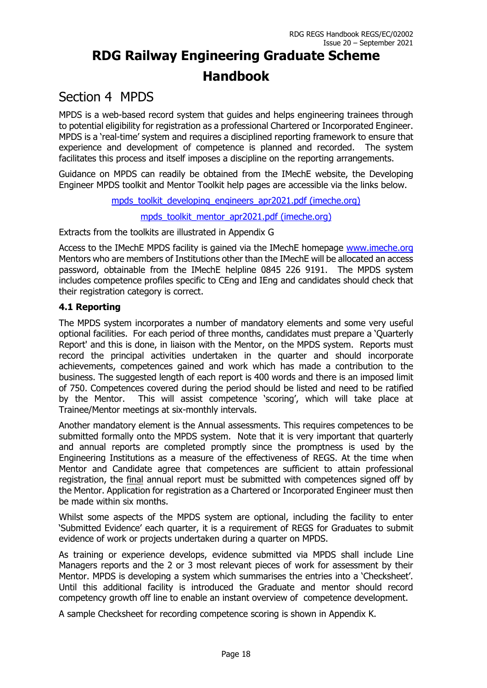### Section 4 MPDS

MPDS is a web-based record system that guides and helps engineering trainees through to potential eligibility for registration as a professional Chartered or Incorporated Engineer. MPDS is a 'real-time' system and requires a disciplined reporting framework to ensure that experience and development of competence is planned and recorded. The system facilitates this process and itself imposes a discipline on the reporting arrangements.

Guidance on MPDS can readily be obtained from the IMechE website, the Developing Engineer MPDS toolkit and Mentor Toolkit help pages are accessible via the links below.

[mpds\\_toolkit\\_developing\\_engineers\\_apr2021.pdf \(imeche.org\)](https://www.imeche.org/docs/default-source/1-oscar/membership/mpds_toolkit_developing_engineers_apr2021.pdf?sfvrsn=2)

[mpds\\_toolkit\\_mentor\\_apr2021.pdf \(imeche.org\)](https://www.imeche.org/docs/default-source/1-oscar/membership/mpds_toolkit_mentor_apr2021.pdf?sfvrsn=2)

Extracts from the toolkits are illustrated in Appendix G

Access to the IMechE MPDS facility is gained via the IMechE homepage [www.imeche.org](http://www.imeche.org.uk/) Mentors who are members of Institutions other than the IMechE will be allocated an access password, obtainable from the IMechE helpline 0845 226 9191. The MPDS system includes competence profiles specific to CEng and IEng and candidates should check that their registration category is correct.

#### **4.1 Reporting**

The MPDS system incorporates a number of mandatory elements and some very useful optional facilities. For each period of three months, candidates must prepare a 'Quarterly Report' and this is done, in liaison with the Mentor, on the MPDS system. Reports must record the principal activities undertaken in the quarter and should incorporate achievements, competences gained and work which has made a contribution to the business. The suggested length of each report is 400 words and there is an imposed limit of 750. Competences covered during the period should be listed and need to be ratified by the Mentor. This will assist competence 'scoring', which will take place at Trainee/Mentor meetings at six-monthly intervals.

Another mandatory element is the Annual assessments. This requires competences to be submitted formally onto the MPDS system. Note that it is very important that quarterly and annual reports are completed promptly since the promptness is used by the Engineering Institutions as a measure of the effectiveness of REGS. At the time when Mentor and Candidate agree that competences are sufficient to attain professional registration, the final annual report must be submitted with competences signed off by the Mentor. Application for registration as a Chartered or Incorporated Engineer must then be made within six months.

Whilst some aspects of the MPDS system are optional, including the facility to enter 'Submitted Evidence' each quarter, it is a requirement of REGS for Graduates to submit evidence of work or projects undertaken during a quarter on MPDS.

As training or experience develops, evidence submitted via MPDS shall include Line Managers reports and the 2 or 3 most relevant pieces of work for assessment by their Mentor. MPDS is developing a system which summarises the entries into a 'Checksheet'. Until this additional facility is introduced the Graduate and mentor should record competency growth off line to enable an instant overview of competence development.

A sample Checksheet for recording competence scoring is shown in Appendix K.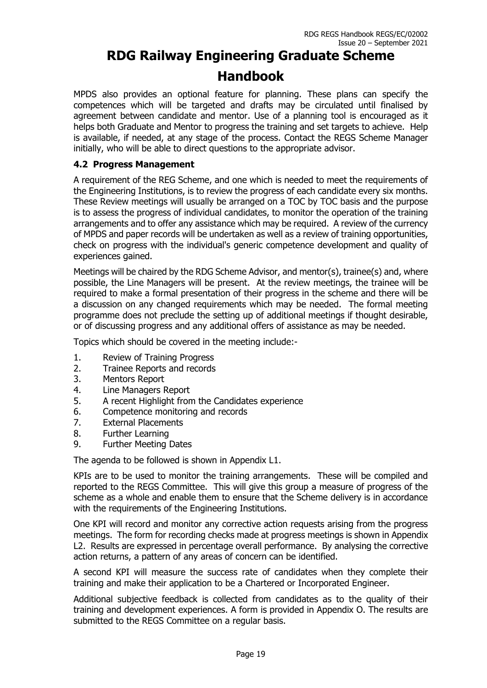MPDS also provides an optional feature for planning. These plans can specify the competences which will be targeted and drafts may be circulated until finalised by agreement between candidate and mentor. Use of a planning tool is encouraged as it helps both Graduate and Mentor to progress the training and set targets to achieve. Help is available, if needed, at any stage of the process. Contact the REGS Scheme Manager initially, who will be able to direct questions to the appropriate advisor.

#### **4.2 Progress Management**

A requirement of the REG Scheme, and one which is needed to meet the requirements of the Engineering Institutions, is to review the progress of each candidate every six months. These Review meetings will usually be arranged on a TOC by TOC basis and the purpose is to assess the progress of individual candidates, to monitor the operation of the training arrangements and to offer any assistance which may be required. A review of the currency of MPDS and paper records will be undertaken as well as a review of training opportunities, check on progress with the individual's generic competence development and quality of experiences gained.

Meetings will be chaired by the RDG Scheme Advisor, and mentor(s), trainee(s) and, where possible, the Line Managers will be present. At the review meetings, the trainee will be required to make a formal presentation of their progress in the scheme and there will be a discussion on any changed requirements which may be needed. The formal meeting programme does not preclude the setting up of additional meetings if thought desirable, or of discussing progress and any additional offers of assistance as may be needed.

Topics which should be covered in the meeting include:-

- 1. Review of Training Progress
- 2. Trainee Reports and records
- 3. Mentors Report
- 4. Line Managers Report
- 5. A recent Highlight from the Candidates experience
- 6. Competence monitoring and records
- 7. External Placements
- 8. Further Learning
- 9. Further Meeting Dates

The agenda to be followed is shown in Appendix L1.

KPIs are to be used to monitor the training arrangements. These will be compiled and reported to the REGS Committee. This will give this group a measure of progress of the scheme as a whole and enable them to ensure that the Scheme delivery is in accordance with the requirements of the Engineering Institutions.

One KPI will record and monitor any corrective action requests arising from the progress meetings. The form for recording checks made at progress meetings is shown in Appendix L2. Results are expressed in percentage overall performance. By analysing the corrective action returns, a pattern of any areas of concern can be identified.

A second KPI will measure the success rate of candidates when they complete their training and make their application to be a Chartered or Incorporated Engineer.

Additional subjective feedback is collected from candidates as to the quality of their training and development experiences. A form is provided in Appendix O. The results are submitted to the REGS Committee on a regular basis.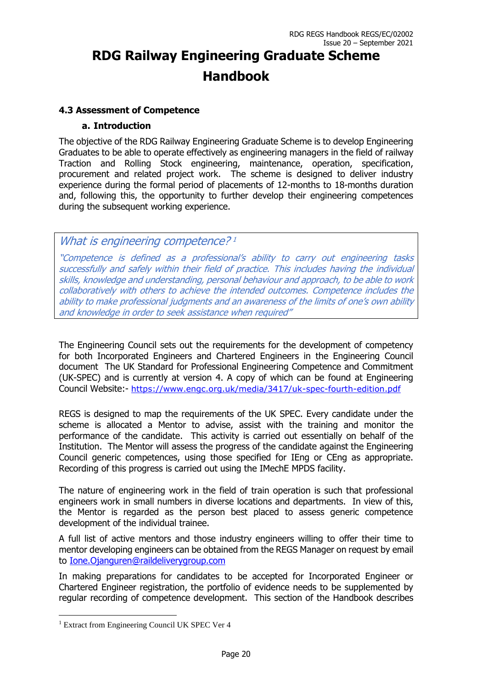#### **4.3 Assessment of Competence**

#### **a. Introduction**

The objective of the RDG Railway Engineering Graduate Scheme is to develop Engineering Graduates to be able to operate effectively as engineering managers in the field of railway Traction and Rolling Stock engineering, maintenance, operation, specification, procurement and related project work. The scheme is designed to deliver industry experience during the formal period of placements of 12-months to 18-months duration and, following this, the opportunity to further develop their engineering competences during the subsequent working experience.

### What is engineering competence?<sup>1</sup>

"Competence is defined as a professional's ability to carry out engineering tasks successfully and safely within their field of practice. This includes having the individual skills, knowledge and understanding, personal behaviour and approach, to be able to work collaboratively with others to achieve the intended outcomes. Competence includes the ability to make professional judgments and an awareness of the limits of one's own ability and knowledge in order to seek assistance when required"

The Engineering Council sets out the requirements for the development of competency for both Incorporated Engineers and Chartered Engineers in the Engineering Council document The UK Standard for Professional Engineering Competence and Commitment (UK-SPEC) and is currently at version 4. A copy of which can be found at Engineering Council Website:- <https://www.engc.org.uk/media/3417/uk-spec-fourth-edition.pdf>

REGS is designed to map the requirements of the UK SPEC. Every candidate under the scheme is allocated a Mentor to advise, assist with the training and monitor the performance of the candidate. This activity is carried out essentially on behalf of the Institution. The Mentor will assess the progress of the candidate against the Engineering Council generic competences, using those specified for IEng or CEng as appropriate. Recording of this progress is carried out using the IMechE MPDS facility.

The nature of engineering work in the field of train operation is such that professional engineers work in small numbers in diverse locations and departments. In view of this, the Mentor is regarded as the person best placed to assess generic competence development of the individual trainee.

A full list of active mentors and those industry engineers willing to offer their time to mentor developing engineers can be obtained from the REGS Manager on request by email to [Ione.Ojanguren@raildeliverygroup.com](mailto:Ione.Ojanguren@raildeliverygroup.com)

In making preparations for candidates to be accepted for Incorporated Engineer or Chartered Engineer registration, the portfolio of evidence needs to be supplemented by regular recording of competence development. This section of the Handbook describes

<sup>&</sup>lt;sup>1</sup> Extract from Engineering Council UK SPEC Ver 4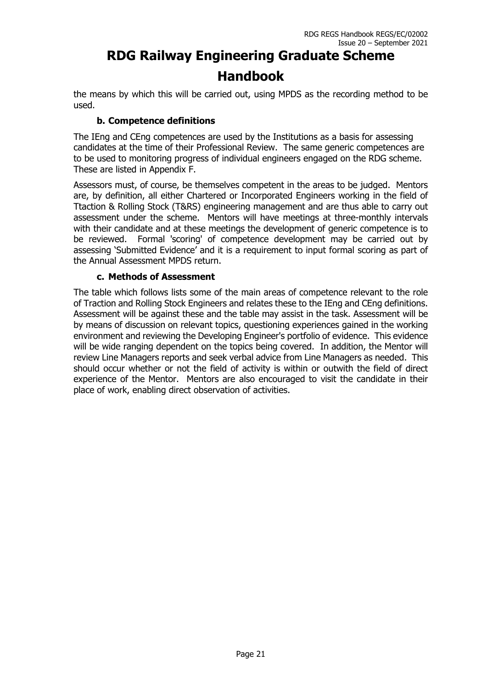the means by which this will be carried out, using MPDS as the recording method to be used.

#### **b. Competence definitions**

The IEng and CEng competences are used by the Institutions as a basis for assessing candidates at the time of their Professional Review. The same generic competences are to be used to monitoring progress of individual engineers engaged on the RDG scheme. These are listed in Appendix F.

Assessors must, of course, be themselves competent in the areas to be judged. Mentors are, by definition, all either Chartered or Incorporated Engineers working in the field of Ttaction & Rolling Stock (T&RS) engineering management and are thus able to carry out assessment under the scheme. Mentors will have meetings at three-monthly intervals with their candidate and at these meetings the development of generic competence is to be reviewed. Formal 'scoring' of competence development may be carried out by assessing 'Submitted Evidence' and it is a requirement to input formal scoring as part of the Annual Assessment MPDS return.

#### **c. Methods of Assessment**

The table which follows lists some of the main areas of competence relevant to the role of Traction and Rolling Stock Engineers and relates these to the IEng and CEng definitions. Assessment will be against these and the table may assist in the task. Assessment will be by means of discussion on relevant topics, questioning experiences gained in the working environment and reviewing the Developing Engineer's portfolio of evidence. This evidence will be wide ranging dependent on the topics being covered. In addition, the Mentor will review Line Managers reports and seek verbal advice from Line Managers as needed. This should occur whether or not the field of activity is within or outwith the field of direct experience of the Mentor. Mentors are also encouraged to visit the candidate in their place of work, enabling direct observation of activities.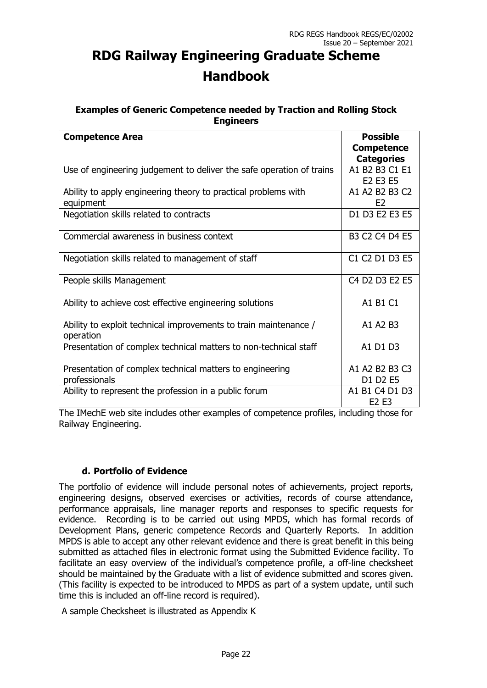#### **Examples of Generic Competence needed by Traction and Rolling Stock Engineers**

| <b>Competence Area</b>                                               | <b>Possible</b>                                                            |
|----------------------------------------------------------------------|----------------------------------------------------------------------------|
|                                                                      | <b>Competence</b>                                                          |
|                                                                      | <b>Categories</b>                                                          |
| Use of engineering judgement to deliver the safe operation of trains | A1 B2 B3 C1 E1                                                             |
|                                                                      | E <sub>2</sub> E <sub>3</sub> E <sub>5</sub>                               |
| Ability to apply engineering theory to practical problems with       | A1 A2 B2 B3 C2                                                             |
| equipment                                                            | F <sub>2</sub>                                                             |
| Negotiation skills related to contracts                              | D1 D3 E2 E3 E5                                                             |
|                                                                      |                                                                            |
| Commercial awareness in business context                             | B <sub>3</sub> C <sub>2</sub> C <sub>4</sub> D <sub>4</sub> E <sub>5</sub> |
|                                                                      |                                                                            |
| Negotiation skills related to management of staff                    | C1 C2 D1 D3 E5                                                             |
|                                                                      |                                                                            |
| People skills Management                                             | C <sub>4</sub> D <sub>2</sub> D <sub>3</sub> E <sub>2</sub> E <sub>5</sub> |
|                                                                      |                                                                            |
| Ability to achieve cost effective engineering solutions              | A1 B1 C1                                                                   |
|                                                                      |                                                                            |
| Ability to exploit technical improvements to train maintenance /     | A1 A2 B3                                                                   |
| operation                                                            |                                                                            |
| Presentation of complex technical matters to non-technical staff     | A1 D1 D3                                                                   |
|                                                                      |                                                                            |
| Presentation of complex technical matters to engineering             | A1 A2 B2 B3 C3                                                             |
| professionals                                                        | D1 D2 E5                                                                   |
| Ability to represent the profession in a public forum                | A1 B1 C4 D1 D3                                                             |
|                                                                      | E <sub>2</sub> E <sub>3</sub>                                              |

The IMechE web site includes other examples of competence profiles, including those for Railway Engineering.

#### **d. Portfolio of Evidence**

The portfolio of evidence will include personal notes of achievements, project reports, engineering designs, observed exercises or activities, records of course attendance, performance appraisals, line manager reports and responses to specific requests for evidence. Recording is to be carried out using MPDS, which has formal records of Development Plans, generic competence Records and Quarterly Reports. In addition MPDS is able to accept any other relevant evidence and there is great benefit in this being submitted as attached files in electronic format using the Submitted Evidence facility. To facilitate an easy overview of the individual's competence profile, a off-line checksheet should be maintained by the Graduate with a list of evidence submitted and scores given. (This facility is expected to be introduced to MPDS as part of a system update, until such time this is included an off-line record is required).

A sample Checksheet is illustrated as Appendix K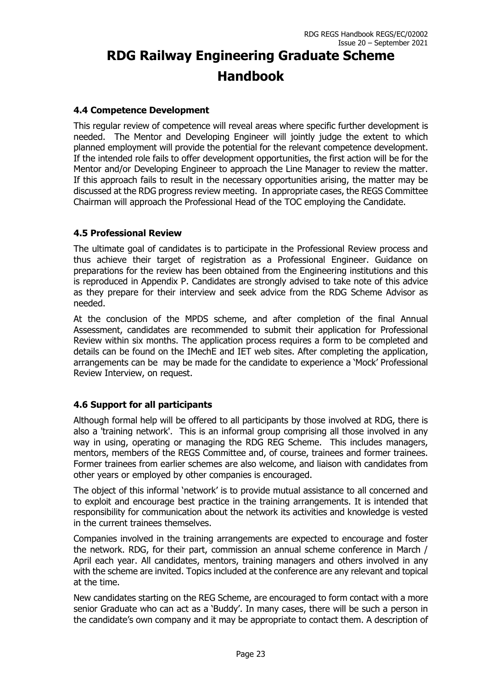#### **4.4 Competence Development**

This regular review of competence will reveal areas where specific further development is needed. The Mentor and Developing Engineer will jointly judge the extent to which planned employment will provide the potential for the relevant competence development. If the intended role fails to offer development opportunities, the first action will be for the Mentor and/or Developing Engineer to approach the Line Manager to review the matter. If this approach fails to result in the necessary opportunities arising, the matter may be discussed at the RDG progress review meeting. In appropriate cases, the REGS Committee Chairman will approach the Professional Head of the TOC employing the Candidate.

#### **4.5 Professional Review**

The ultimate goal of candidates is to participate in the Professional Review process and thus achieve their target of registration as a Professional Engineer. Guidance on preparations for the review has been obtained from the Engineering institutions and this is reproduced in Appendix P. Candidates are strongly advised to take note of this advice as they prepare for their interview and seek advice from the RDG Scheme Advisor as needed.

At the conclusion of the MPDS scheme, and after completion of the final Annual Assessment, candidates are recommended to submit their application for Professional Review within six months. The application process requires a form to be completed and details can be found on the IMechE and IET web sites. After completing the application, arrangements can be may be made for the candidate to experience a 'Mock' Professional Review Interview, on request.

#### **4.6 Support for all participants**

Although formal help will be offered to all participants by those involved at RDG, there is also a 'training network'. This is an informal group comprising all those involved in any way in using, operating or managing the RDG REG Scheme. This includes managers, mentors, members of the REGS Committee and, of course, trainees and former trainees. Former trainees from earlier schemes are also welcome, and liaison with candidates from other years or employed by other companies is encouraged.

The object of this informal 'network' is to provide mutual assistance to all concerned and to exploit and encourage best practice in the training arrangements. It is intended that responsibility for communication about the network its activities and knowledge is vested in the current trainees themselves.

Companies involved in the training arrangements are expected to encourage and foster the network. RDG, for their part, commission an annual scheme conference in March / April each year. All candidates, mentors, training managers and others involved in any with the scheme are invited. Topics included at the conference are any relevant and topical at the time.

New candidates starting on the REG Scheme, are encouraged to form contact with a more senior Graduate who can act as a 'Buddy'. In many cases, there will be such a person in the candidate's own company and it may be appropriate to contact them. A description of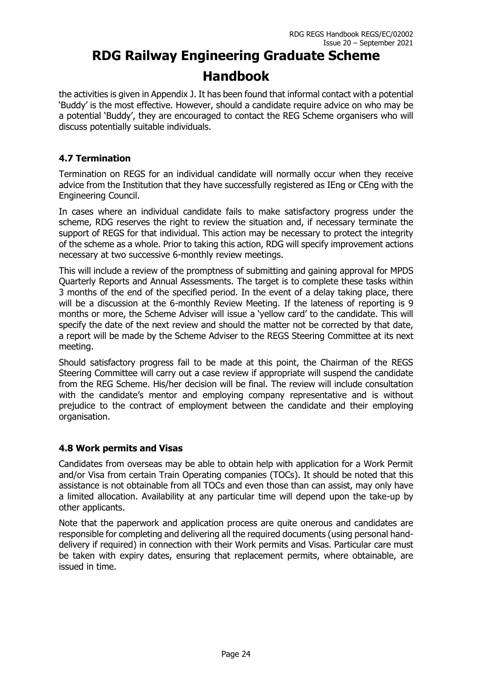the activities is given in Appendix J. It has been found that informal contact with a potential 'Buddy' is the most effective. However, should a candidate require advice on who may be a potential 'Buddy', they are encouraged to contact the REG Scheme organisers who will discuss potentially suitable individuals.

### **4.7 Termination**

Termination on REGS for an individual candidate will normally occur when they receive advice from the Institution that they have successfully registered as IEng or CEng with the Engineering Council.

In cases where an individual candidate fails to make satisfactory progress under the scheme, RDG reserves the right to review the situation and, if necessary terminate the support of REGS for that individual. This action may be necessary to protect the integrity of the scheme as a whole. Prior to taking this action, RDG will specify improvement actions necessary at two successive 6-monthly review meetings.

This will include a review of the promptness of submitting and gaining approval for MPDS Quarterly Reports and Annual Assessments. The target is to complete these tasks within 3 months of the end of the specified period. In the event of a delay taking place, there will be a discussion at the 6-monthly Review Meeting. If the lateness of reporting is 9 months or more, the Scheme Adviser will issue a 'yellow card' to the candidate. This will specify the date of the next review and should the matter not be corrected by that date, a report will be made by the Scheme Adviser to the REGS Steering Committee at its next meeting.

Should satisfactory progress fail to be made at this point, the Chairman of the REGS Steering Committee will carry out a case review if appropriate will suspend the candidate from the REG Scheme. His/her decision will be final. The review will include consultation with the candidate's mentor and employing company representative and is without prejudice to the contract of employment between the candidate and their employing organisation.

#### **4.8 Work permits and Visas**

Candidates from overseas may be able to obtain help with application for a Work Permit and/or Visa from certain Train Operating companies (TOCs). It should be noted that this assistance is not obtainable from all TOCs and even those than can assist, may only have a limited allocation. Availability at any particular time will depend upon the take-up by other applicants.

Note that the paperwork and application process are quite onerous and candidates are responsible for completing and delivering all the required documents (using personal handdelivery if required) in connection with their Work permits and Visas. Particular care must be taken with expiry dates, ensuring that replacement permits, where obtainable, are issued in time.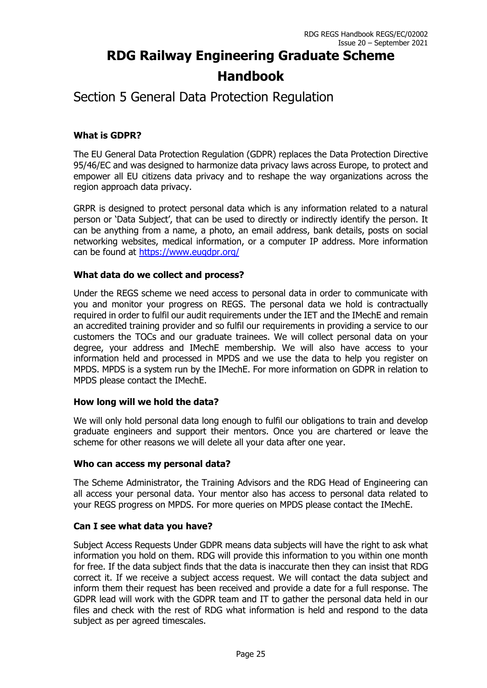### Section 5 General Data Protection Regulation

#### **What is GDPR?**

The EU General Data Protection Regulation (GDPR) replaces the Data Protection Directive 95/46/EC and was designed to harmonize data privacy laws across Europe, to protect and empower all EU citizens data privacy and to reshape the way organizations across the region approach data privacy.

GRPR is designed to protect personal data which is any information related to a natural person or 'Data Subject', that can be used to directly or indirectly identify the person. It can be anything from a name, a photo, an email address, bank details, posts on social networking websites, medical information, or a computer IP address. More information can be found at <https://www.eugdpr.org/>

#### **What data do we collect and process?**

Under the REGS scheme we need access to personal data in order to communicate with you and monitor your progress on REGS. The personal data we hold is contractually required in order to fulfil our audit requirements under the IET and the IMechE and remain an accredited training provider and so fulfil our requirements in providing a service to our customers the TOCs and our graduate trainees. We will collect personal data on your degree, your address and IMechE membership. We will also have access to your information held and processed in MPDS and we use the data to help you register on MPDS. MPDS is a system run by the IMechE. For more information on GDPR in relation to MPDS please contact the IMechE.

#### **How long will we hold the data?**

We will only hold personal data long enough to fulfil our obligations to train and develop graduate engineers and support their mentors. Once you are chartered or leave the scheme for other reasons we will delete all your data after one year.

#### **Who can access my personal data?**

The Scheme Administrator, the Training Advisors and the RDG Head of Engineering can all access your personal data. Your mentor also has access to personal data related to your REGS progress on MPDS. For more queries on MPDS please contact the IMechE.

#### **Can I see what data you have?**

Subject Access Requests Under GDPR means data subjects will have the right to ask what information you hold on them. RDG will provide this information to you within one month for free. If the data subject finds that the data is inaccurate then they can insist that RDG correct it. If we receive a subject access request. We will contact the data subject and inform them their request has been received and provide a date for a full response. The GDPR lead will work with the GDPR team and IT to gather the personal data held in our files and check with the rest of RDG what information is held and respond to the data subject as per agreed timescales.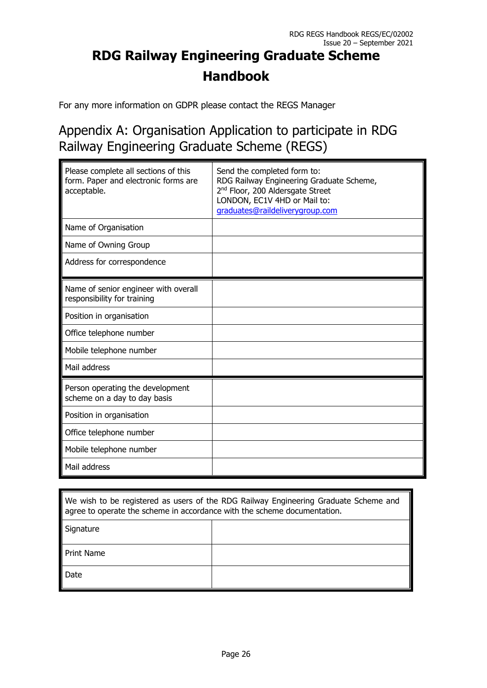For any more information on GDPR please contact the REGS Manager

### Appendix A: Organisation Application to participate in RDG Railway Engineering Graduate Scheme (REGS)

| Please complete all sections of this<br>form. Paper and electronic forms are<br>acceptable. | Send the completed form to:<br>RDG Railway Engineering Graduate Scheme,<br>2 <sup>nd</sup> Floor, 200 Aldersgate Street<br>LONDON, EC1V 4HD or Mail to:<br>graduates@raildeliverygroup.com |
|---------------------------------------------------------------------------------------------|--------------------------------------------------------------------------------------------------------------------------------------------------------------------------------------------|
| Name of Organisation                                                                        |                                                                                                                                                                                            |
| Name of Owning Group                                                                        |                                                                                                                                                                                            |
| Address for correspondence                                                                  |                                                                                                                                                                                            |
| Name of senior engineer with overall<br>responsibility for training                         |                                                                                                                                                                                            |
| Position in organisation                                                                    |                                                                                                                                                                                            |
| Office telephone number                                                                     |                                                                                                                                                                                            |
| Mobile telephone number                                                                     |                                                                                                                                                                                            |
| Mail address                                                                                |                                                                                                                                                                                            |
| Person operating the development<br>scheme on a day to day basis                            |                                                                                                                                                                                            |
| Position in organisation                                                                    |                                                                                                                                                                                            |
| Office telephone number                                                                     |                                                                                                                                                                                            |
| Mobile telephone number                                                                     |                                                                                                                                                                                            |
| Mail address                                                                                |                                                                                                                                                                                            |

| We wish to be registered as users of the RDG Railway Engineering Graduate Scheme and<br>agree to operate the scheme in accordance with the scheme documentation. |  |  |
|------------------------------------------------------------------------------------------------------------------------------------------------------------------|--|--|
| Signature                                                                                                                                                        |  |  |
| <b>Print Name</b>                                                                                                                                                |  |  |
| Date                                                                                                                                                             |  |  |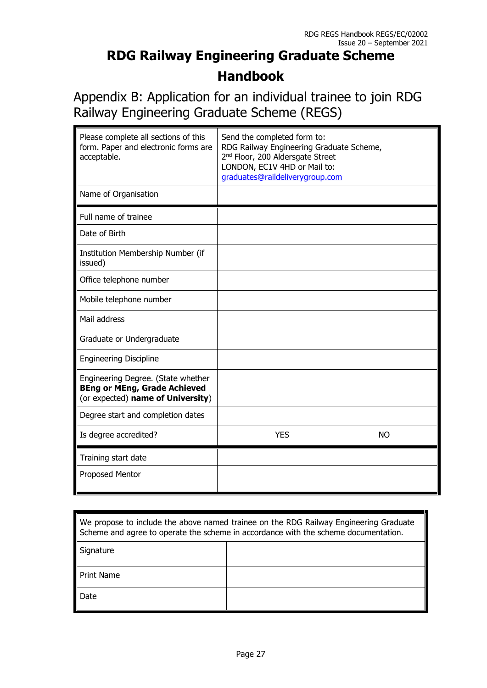Appendix B: Application for an individual trainee to join RDG Railway Engineering Graduate Scheme (REGS)

| Please complete all sections of this<br>form. Paper and electronic forms are<br>acceptable.                    | Send the completed form to:<br>RDG Railway Engineering Graduate Scheme,<br>2 <sup>nd</sup> Floor, 200 Aldersgate Street<br>LONDON, EC1V 4HD or Mail to:<br>graduates@raildeliverygroup.com |  |
|----------------------------------------------------------------------------------------------------------------|--------------------------------------------------------------------------------------------------------------------------------------------------------------------------------------------|--|
| Name of Organisation                                                                                           |                                                                                                                                                                                            |  |
| Full name of trainee                                                                                           |                                                                                                                                                                                            |  |
| Date of Birth                                                                                                  |                                                                                                                                                                                            |  |
| Institution Membership Number (if<br>issued)                                                                   |                                                                                                                                                                                            |  |
| Office telephone number                                                                                        |                                                                                                                                                                                            |  |
| Mobile telephone number                                                                                        |                                                                                                                                                                                            |  |
| Mail address                                                                                                   |                                                                                                                                                                                            |  |
| Graduate or Undergraduate                                                                                      |                                                                                                                                                                                            |  |
| <b>Engineering Discipline</b>                                                                                  |                                                                                                                                                                                            |  |
| Engineering Degree. (State whether<br><b>BEng or MEng, Grade Achieved</b><br>(or expected) name of University) |                                                                                                                                                                                            |  |
| Degree start and completion dates                                                                              |                                                                                                                                                                                            |  |
| Is degree accredited?                                                                                          | <b>YES</b><br><b>NO</b>                                                                                                                                                                    |  |
| Training start date                                                                                            |                                                                                                                                                                                            |  |
| Proposed Mentor                                                                                                |                                                                                                                                                                                            |  |

| We propose to include the above named trainee on the RDG Railway Engineering Graduate<br>Scheme and agree to operate the scheme in accordance with the scheme documentation. |  |  |
|------------------------------------------------------------------------------------------------------------------------------------------------------------------------------|--|--|
| Signature                                                                                                                                                                    |  |  |
| <b>Print Name</b>                                                                                                                                                            |  |  |
| Date                                                                                                                                                                         |  |  |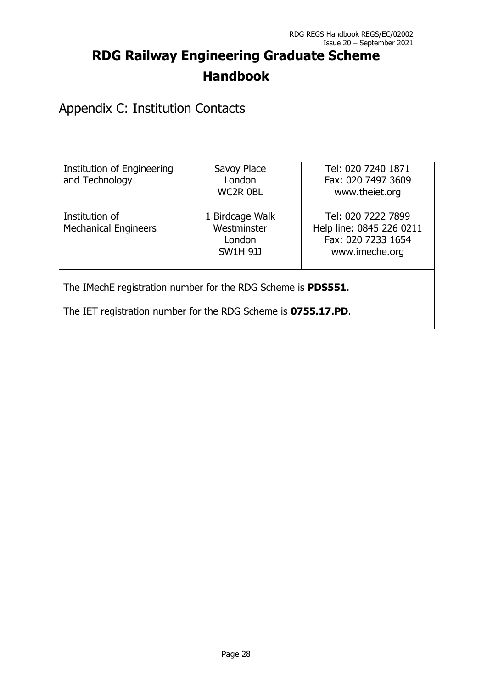Appendix C: Institution Contacts

| Institution of Engineering<br>and Technology                         | Savoy Place<br>London<br><b>WC2R OBL</b>                    | Tel: 020 7240 1871<br>Fax: 020 7497 3609<br>www.theiet.org                             |  |
|----------------------------------------------------------------------|-------------------------------------------------------------|----------------------------------------------------------------------------------------|--|
| Institution of<br><b>Mechanical Engineers</b>                        | 1 Birdcage Walk<br>Westminster<br>London<br><b>SW1H 9JJ</b> | Tel: 020 7222 7899<br>Help line: 0845 226 0211<br>Fax: 020 7233 1654<br>www.imeche.org |  |
| The IMechE registration number for the RDG Scheme is <b>PDS551</b> . |                                                             |                                                                                        |  |

The IET registration number for the RDG Scheme is **0755.17.PD**.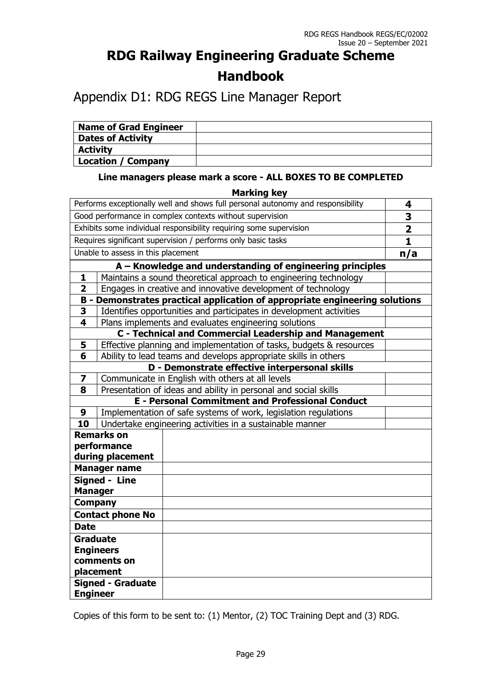### Appendix D1: RDG REGS Line Manager Report

| <b>Name of Grad Engineer</b> |  |
|------------------------------|--|
| <b>Dates of Activity</b>     |  |
| <b>Activity</b>              |  |
| <b>Location / Company</b>    |  |

#### **Line managers please mark a score - ALL BOXES TO BE COMPLETED**

|                                                                                 |                                                                 | <b>Marking key</b>                                                          |                         |  |  |
|---------------------------------------------------------------------------------|-----------------------------------------------------------------|-----------------------------------------------------------------------------|-------------------------|--|--|
| Performs exceptionally well and shows full personal autonomy and responsibility |                                                                 |                                                                             | 4                       |  |  |
| Good performance in complex contexts without supervision                        |                                                                 |                                                                             | 3                       |  |  |
|                                                                                 |                                                                 | Exhibits some individual responsibility requiring some supervision          | $\overline{\mathbf{2}}$ |  |  |
|                                                                                 |                                                                 | Requires significant supervision / performs only basic tasks                | $\mathbf{1}$            |  |  |
|                                                                                 | Unable to assess in this placement                              |                                                                             | n/a                     |  |  |
|                                                                                 |                                                                 | A - Knowledge and understanding of engineering principles                   |                         |  |  |
| 1                                                                               |                                                                 | Maintains a sound theoretical approach to engineering technology            |                         |  |  |
| $\overline{2}$                                                                  |                                                                 | Engages in creative and innovative development of technology                |                         |  |  |
|                                                                                 |                                                                 | B - Demonstrates practical application of appropriate engineering solutions |                         |  |  |
| 3                                                                               |                                                                 | Identifies opportunities and participates in development activities         |                         |  |  |
| $\overline{\mathbf{4}}$                                                         |                                                                 | Plans implements and evaluates engineering solutions                        |                         |  |  |
|                                                                                 |                                                                 | <b>C</b> - Technical and Commercial Leadership and Management               |                         |  |  |
| 5                                                                               |                                                                 | Effective planning and implementation of tasks, budgets & resources         |                         |  |  |
| 6                                                                               |                                                                 | Ability to lead teams and develops appropriate skills in others             |                         |  |  |
|                                                                                 |                                                                 | D - Demonstrate effective interpersonal skills                              |                         |  |  |
| $\overline{\mathbf{z}}$                                                         |                                                                 | Communicate in English with others at all levels                            |                         |  |  |
| 8                                                                               | Presentation of ideas and ability in personal and social skills |                                                                             |                         |  |  |
|                                                                                 |                                                                 | <b>E - Personal Commitment and Professional Conduct</b>                     |                         |  |  |
| 9                                                                               | Implementation of safe systems of work, legislation regulations |                                                                             |                         |  |  |
|                                                                                 | 10<br>Undertake engineering activities in a sustainable manner  |                                                                             |                         |  |  |
|                                                                                 | <b>Remarks on</b>                                               |                                                                             |                         |  |  |
| performance                                                                     |                                                                 |                                                                             |                         |  |  |
| during placement                                                                |                                                                 |                                                                             |                         |  |  |
|                                                                                 | <b>Manager name</b>                                             |                                                                             |                         |  |  |
|                                                                                 | <b>Signed - Line</b>                                            |                                                                             |                         |  |  |
| <b>Manager</b>                                                                  |                                                                 |                                                                             |                         |  |  |
|                                                                                 | <b>Company</b>                                                  |                                                                             |                         |  |  |
| <b>Contact phone No</b>                                                         |                                                                 |                                                                             |                         |  |  |
| <b>Date</b>                                                                     |                                                                 |                                                                             |                         |  |  |
|                                                                                 | <b>Graduate</b>                                                 |                                                                             |                         |  |  |
| <b>Engineers</b>                                                                |                                                                 |                                                                             |                         |  |  |
| comments on                                                                     |                                                                 |                                                                             |                         |  |  |
|                                                                                 | placement                                                       |                                                                             |                         |  |  |
|                                                                                 | <b>Signed - Graduate</b>                                        |                                                                             |                         |  |  |
| <b>Engineer</b>                                                                 |                                                                 |                                                                             |                         |  |  |

Copies of this form to be sent to: (1) Mentor, (2) TOC Training Dept and (3) RDG.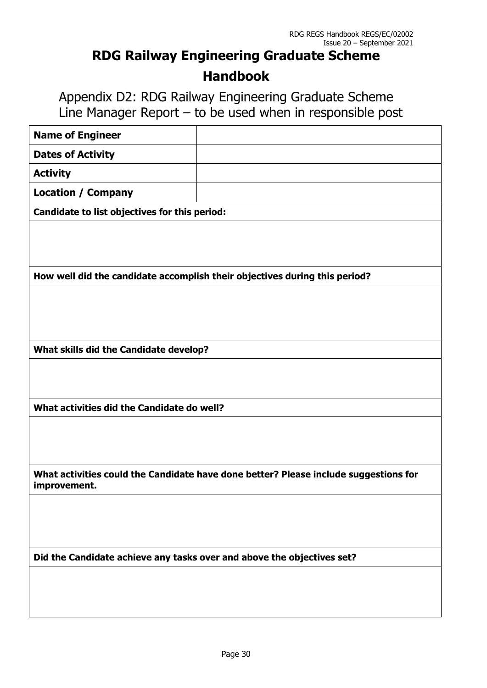Appendix D2: RDG Railway Engineering Graduate Scheme Line Manager Report – to be used when in responsible post

| <b>Name of Engineer</b>                                                |                                                                                      |
|------------------------------------------------------------------------|--------------------------------------------------------------------------------------|
| <b>Dates of Activity</b>                                               |                                                                                      |
| <b>Activity</b>                                                        |                                                                                      |
| <b>Location / Company</b>                                              |                                                                                      |
| Candidate to list objectives for this period:                          |                                                                                      |
|                                                                        |                                                                                      |
|                                                                        |                                                                                      |
|                                                                        | How well did the candidate accomplish their objectives during this period?           |
|                                                                        |                                                                                      |
|                                                                        |                                                                                      |
|                                                                        |                                                                                      |
| What skills did the Candidate develop?                                 |                                                                                      |
|                                                                        |                                                                                      |
|                                                                        |                                                                                      |
| What activities did the Candidate do well?                             |                                                                                      |
|                                                                        |                                                                                      |
|                                                                        |                                                                                      |
|                                                                        |                                                                                      |
| improvement.                                                           | What activities could the Candidate have done better? Please include suggestions for |
|                                                                        |                                                                                      |
|                                                                        |                                                                                      |
|                                                                        |                                                                                      |
| Did the Candidate achieve any tasks over and above the objectives set? |                                                                                      |
|                                                                        |                                                                                      |
|                                                                        |                                                                                      |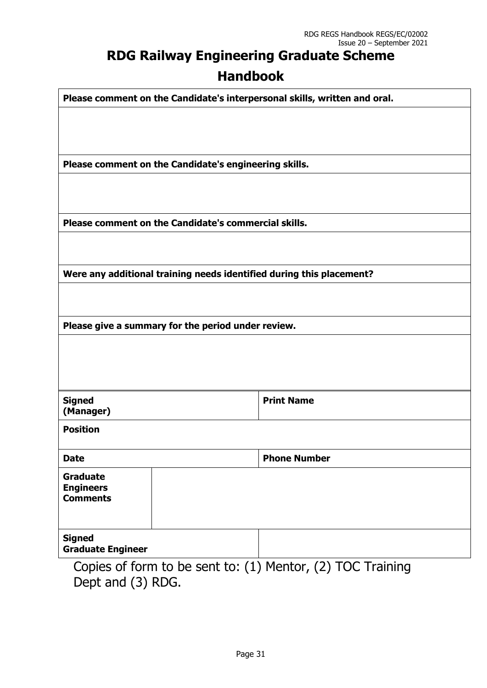| Please comment on the Candidate's interpersonal skills, written and oral. |                                                            |
|---------------------------------------------------------------------------|------------------------------------------------------------|
|                                                                           |                                                            |
|                                                                           |                                                            |
|                                                                           |                                                            |
| Please comment on the Candidate's engineering skills.                     |                                                            |
|                                                                           |                                                            |
|                                                                           |                                                            |
|                                                                           |                                                            |
| Please comment on the Candidate's commercial skills.                      |                                                            |
|                                                                           |                                                            |
|                                                                           |                                                            |
| Were any additional training needs identified during this placement?      |                                                            |
|                                                                           |                                                            |
|                                                                           |                                                            |
|                                                                           |                                                            |
| Please give a summary for the period under review.                        |                                                            |
|                                                                           |                                                            |
|                                                                           |                                                            |
|                                                                           |                                                            |
|                                                                           |                                                            |
| <b>Signed</b>                                                             | <b>Print Name</b>                                          |
| (Manager)                                                                 |                                                            |
| <b>Position</b>                                                           |                                                            |
| <b>Date</b>                                                               | <b>Phone Number</b>                                        |
| <b>Graduate</b>                                                           |                                                            |
| <b>Engineers</b>                                                          |                                                            |
| <b>Comments</b>                                                           |                                                            |
|                                                                           |                                                            |
|                                                                           |                                                            |
| <b>Signed</b><br><b>Graduate Engineer</b>                                 |                                                            |
|                                                                           |                                                            |
|                                                                           | Copies of form to be sent to: (1) Mentor, (2) TOC Training |

Dept and (3) RDG.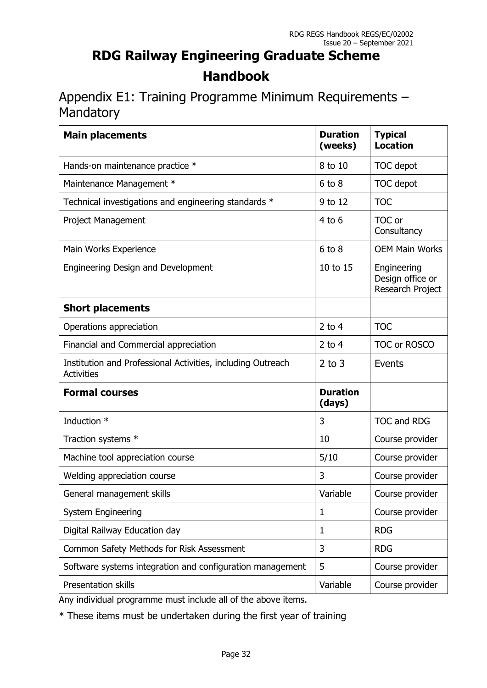Appendix E1: Training Programme Minimum Requirements – Mandatory

| <b>Main placements</b>                                                           | <b>Duration</b><br>(weeks) | <b>Typical</b><br><b>Location</b>                   |
|----------------------------------------------------------------------------------|----------------------------|-----------------------------------------------------|
| Hands-on maintenance practice *                                                  | 8 to 10                    | TOC depot                                           |
| Maintenance Management *                                                         | $6$ to $8$                 | TOC depot                                           |
| Technical investigations and engineering standards *                             | 9 to 12                    | <b>TOC</b>                                          |
| <b>Project Management</b>                                                        | $4$ to 6                   | TOC or<br>Consultancy                               |
| Main Works Experience                                                            | $6$ to $8$                 | <b>OEM Main Works</b>                               |
| <b>Engineering Design and Development</b>                                        | 10 to 15                   | Engineering<br>Design office or<br>Research Project |
| <b>Short placements</b>                                                          |                            |                                                     |
| Operations appreciation                                                          | 2 to $4$                   | <b>TOC</b>                                          |
| Financial and Commercial appreciation                                            | 2 to $4$                   | TOC or ROSCO                                        |
| Institution and Professional Activities, including Outreach<br><b>Activities</b> | $2$ to $3$                 | Events                                              |
| <b>Formal courses</b>                                                            | <b>Duration</b><br>(days)  |                                                     |
| Induction *                                                                      | 3                          | <b>TOC and RDG</b>                                  |
| Traction systems *                                                               | 10                         | Course provider                                     |
| Machine tool appreciation course                                                 | 5/10                       | Course provider                                     |
| Welding appreciation course                                                      | 3                          | Course provider                                     |
| General management skills                                                        | Variable                   | Course provider                                     |
| <b>System Engineering</b>                                                        | 1                          | Course provider                                     |
| Digital Railway Education day                                                    | $\mathbf{1}$               | <b>RDG</b>                                          |
| Common Safety Methods for Risk Assessment                                        | 3                          | <b>RDG</b>                                          |
| Software systems integration and configuration management                        | 5                          | Course provider                                     |
| Presentation skills                                                              | Variable                   | Course provider                                     |

Any individual programme must include all of the above items.

\* These items must be undertaken during the first year of training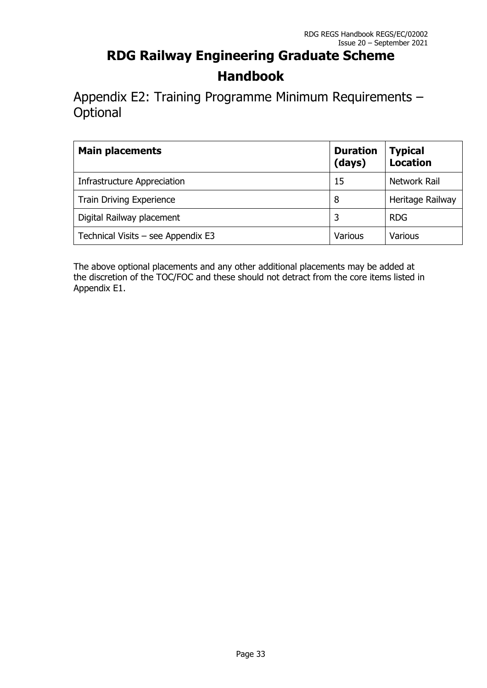Appendix E2: Training Programme Minimum Requirements – **Optional** 

| <b>Main placements</b>               | <b>Duration</b><br>(days) | <b>Typical</b><br><b>Location</b> |
|--------------------------------------|---------------------------|-----------------------------------|
| Infrastructure Appreciation          | 15                        | Network Rail                      |
| <b>Train Driving Experience</b>      | 8                         | Heritage Railway                  |
| Digital Railway placement            | 3                         | <b>RDG</b>                        |
| Technical Visits $-$ see Appendix E3 | Various                   | Various                           |

The above optional placements and any other additional placements may be added at the discretion of the TOC/FOC and these should not detract from the core items listed in Appendix E1.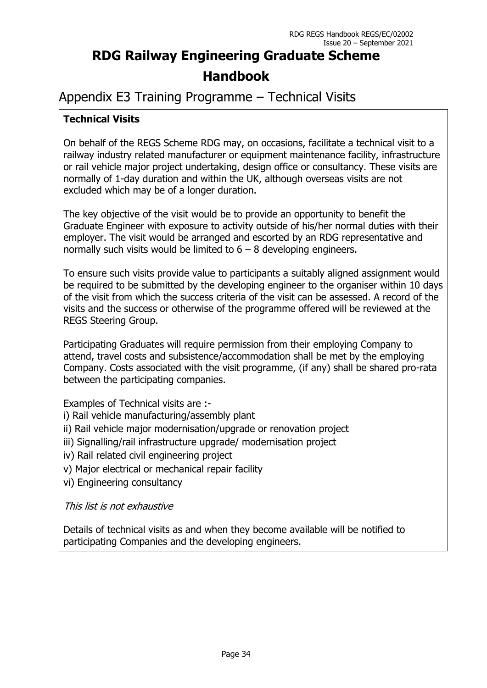### Appendix E3 Training Programme – Technical Visits

### **Technical Visits**

On behalf of the REGS Scheme RDG may, on occasions, facilitate a technical visit to a railway industry related manufacturer or equipment maintenance facility, infrastructure or rail vehicle major project undertaking, design office or consultancy. These visits are normally of 1-day duration and within the UK, although overseas visits are not excluded which may be of a longer duration.

The key objective of the visit would be to provide an opportunity to benefit the Graduate Engineer with exposure to activity outside of his/her normal duties with their employer. The visit would be arranged and escorted by an RDG representative and normally such visits would be limited to  $6 - 8$  developing engineers.

To ensure such visits provide value to participants a suitably aligned assignment would be required to be submitted by the developing engineer to the organiser within 10 days of the visit from which the success criteria of the visit can be assessed. A record of the visits and the success or otherwise of the programme offered will be reviewed at the REGS Steering Group.

Participating Graduates will require permission from their employing Company to attend, travel costs and subsistence/accommodation shall be met by the employing Company. Costs associated with the visit programme, (if any) shall be shared pro-rata between the participating companies.

Examples of Technical visits are :-

- i) Rail vehicle manufacturing/assembly plant
- ii) Rail vehicle major modernisation/upgrade or renovation project
- iii) Signalling/rail infrastructure upgrade/ modernisation project
- iv) Rail related civil engineering project
- v) Major electrical or mechanical repair facility
- vi) Engineering consultancy

This list is not exhaustive

Details of technical visits as and when they become available will be notified to participating Companies and the developing engineers.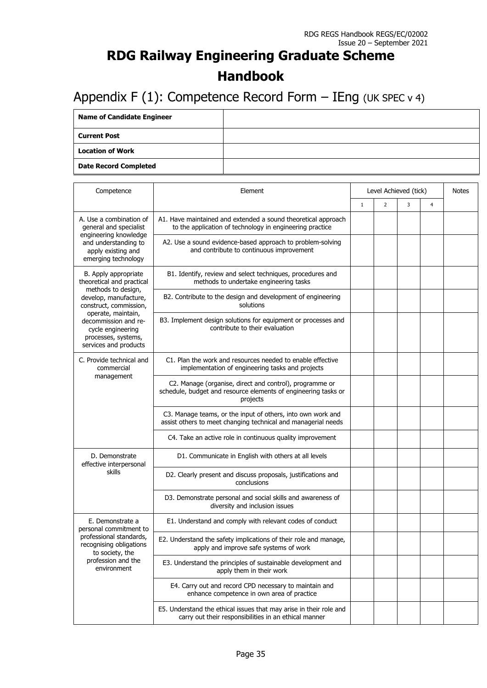### Appendix F (1): Competence Record Form  $-$  IEng (UK SPEC v 4)

| <b>Name of Candidate Engineer</b> |  |
|-----------------------------------|--|
| <b>Current Post</b>               |  |
| <b>Location of Work</b>           |  |
| <b>Date Record Completed</b>      |  |

| Competence                                                                                                      | Element                                                                                                                               | Level Achieved (tick) | <b>Notes</b>   |   |   |  |
|-----------------------------------------------------------------------------------------------------------------|---------------------------------------------------------------------------------------------------------------------------------------|-----------------------|----------------|---|---|--|
|                                                                                                                 |                                                                                                                                       | $\mathbf{1}$          | $\overline{2}$ | 3 | 4 |  |
| A. Use a combination of<br>general and specialist<br>engineering knowledge                                      | A1. Have maintained and extended a sound theoretical approach<br>to the application of technology in engineering practice             |                       |                |   |   |  |
| and understanding to<br>apply existing and<br>emerging technology                                               | A2. Use a sound evidence-based approach to problem-solving<br>and contribute to continuous improvement                                |                       |                |   |   |  |
| B. Apply appropriate<br>theoretical and practical                                                               | B1. Identify, review and select techniques, procedures and<br>methods to undertake engineering tasks                                  |                       |                |   |   |  |
| methods to design,<br>develop, manufacture,<br>construct, commission,                                           | B2. Contribute to the design and development of engineering<br>solutions                                                              |                       |                |   |   |  |
| operate, maintain,<br>decommission and re-<br>cycle engineering<br>processes, systems,<br>services and products | B3. Implement design solutions for equipment or processes and<br>contribute to their evaluation                                       |                       |                |   |   |  |
| C. Provide technical and<br>commercial                                                                          | C1. Plan the work and resources needed to enable effective<br>implementation of engineering tasks and projects                        |                       |                |   |   |  |
| management                                                                                                      | C2. Manage (organise, direct and control), programme or<br>schedule, budget and resource elements of engineering tasks or<br>projects |                       |                |   |   |  |
|                                                                                                                 | C3. Manage teams, or the input of others, into own work and<br>assist others to meet changing technical and managerial needs          |                       |                |   |   |  |
|                                                                                                                 | C4. Take an active role in continuous quality improvement                                                                             |                       |                |   |   |  |
| D. Demonstrate<br>effective interpersonal                                                                       | D1. Communicate in English with others at all levels                                                                                  |                       |                |   |   |  |
| skills                                                                                                          | D2. Clearly present and discuss proposals, justifications and<br>conclusions                                                          |                       |                |   |   |  |
|                                                                                                                 | D3. Demonstrate personal and social skills and awareness of<br>diversity and inclusion issues                                         |                       |                |   |   |  |
| E. Demonstrate a<br>personal commitment to                                                                      | E1. Understand and comply with relevant codes of conduct                                                                              |                       |                |   |   |  |
| professional standards,<br>recognising obligations<br>to society, the                                           | E2. Understand the safety implications of their role and manage,<br>apply and improve safe systems of work                            |                       |                |   |   |  |
| profession and the<br>environment                                                                               | E3. Understand the principles of sustainable development and<br>apply them in their work                                              |                       |                |   |   |  |
|                                                                                                                 | E4. Carry out and record CPD necessary to maintain and<br>enhance competence in own area of practice                                  |                       |                |   |   |  |
|                                                                                                                 | E5. Understand the ethical issues that may arise in their role and<br>carry out their responsibilities in an ethical manner           |                       |                |   |   |  |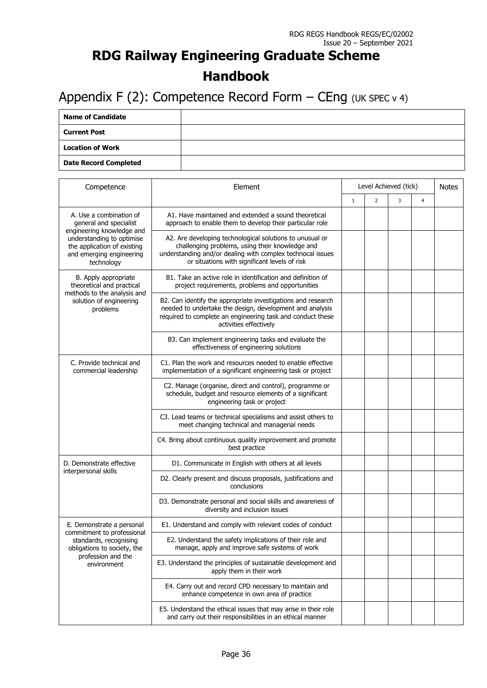### Appendix F (2): Competence Record Form  $-$  CEng (UK SPEC v 4)

| <b>Name of Candidate</b>     |  |
|------------------------------|--|
| <b>Current Post</b>          |  |
| Location of Work             |  |
| <b>Date Record Completed</b> |  |

| Competence                                                                                                                      | Element                                                                                                                                                                                                                    | Level Achieved (tick) | <b>Notes</b>   |   |                |  |
|---------------------------------------------------------------------------------------------------------------------------------|----------------------------------------------------------------------------------------------------------------------------------------------------------------------------------------------------------------------------|-----------------------|----------------|---|----------------|--|
|                                                                                                                                 |                                                                                                                                                                                                                            | $\mathbf{1}$          | $\overline{2}$ | 3 | $\overline{4}$ |  |
| A. Use a combination of<br>general and specialist                                                                               | A1. Have maintained and extended a sound theoretical<br>approach to enable them to develop their particular role                                                                                                           |                       |                |   |                |  |
| engineering knowledge and<br>understanding to optimise<br>the application of existing<br>and emerging engineering<br>technology | A2. Are developing technological solutions to unusual or<br>challenging problems, using their knowledge and<br>understanding and/or dealing with complex technocal issues<br>or situations with significant levels of risk |                       |                |   |                |  |
| B. Apply appropriate<br>theoretical and practical<br>methods to the analysis and<br>solution of engineering<br>problems         | B1. Take an active role in identification and definition of<br>project requirements, problems and opportunities                                                                                                            |                       |                |   |                |  |
|                                                                                                                                 | B2. Can identify the appropriate investigations and research<br>needed to undertake the design, development and analysis<br>required to complete an engineering task and conduct these<br>activities effectively           |                       |                |   |                |  |
|                                                                                                                                 | B3. Can implement engineering tasks and evaluate the<br>effectiveness of engineering solutions                                                                                                                             |                       |                |   |                |  |
| C. Provide technical and<br>commercial leadership                                                                               | C1. Plan the work and resources needed to enable effective<br>implementation of a significant engineering task or project                                                                                                  |                       |                |   |                |  |
|                                                                                                                                 | C2. Manage (organise, direct and control), programme or<br>schedule, budget and resource elements of a significant<br>engineering task or project                                                                          |                       |                |   |                |  |
|                                                                                                                                 | C3. Lead teams or technical specialisms and assist others to<br>meet changing technical and managerial needs                                                                                                               |                       |                |   |                |  |
|                                                                                                                                 | C4. Bring about continuous quality improvement and promote<br>best practice                                                                                                                                                |                       |                |   |                |  |
| D. Demonstrate effective                                                                                                        | D1. Communicate in English with others at all levels                                                                                                                                                                       |                       |                |   |                |  |
| interpersonal skills                                                                                                            | D2. Clearly present and discuss proposals, justifications and<br>conclusions                                                                                                                                               |                       |                |   |                |  |
|                                                                                                                                 | D3. Demonstrate personal and social skills and awareness of<br>diversity and inclusion issues                                                                                                                              |                       |                |   |                |  |
| E. Demonstrate a personal                                                                                                       | E1. Understand and comply with relevant codes of conduct                                                                                                                                                                   |                       |                |   |                |  |
| commitment to professional<br>standards, recognising<br>obligations to society, the                                             | E2. Understand the safety implications of their role and<br>manage, apply and improve safe systems of work                                                                                                                 |                       |                |   |                |  |
| profession and the<br>environment                                                                                               | E3. Understand the principles of sustainable development and<br>apply them in their work                                                                                                                                   |                       |                |   |                |  |
|                                                                                                                                 | E4. Carry out and record CPD necessary to maintain and<br>enhance competence in own area of practice                                                                                                                       |                       |                |   |                |  |
|                                                                                                                                 | E5. Understand the ethical issues that may arise in their role<br>and carry out their responsibilities in an ethical manner                                                                                                |                       |                |   |                |  |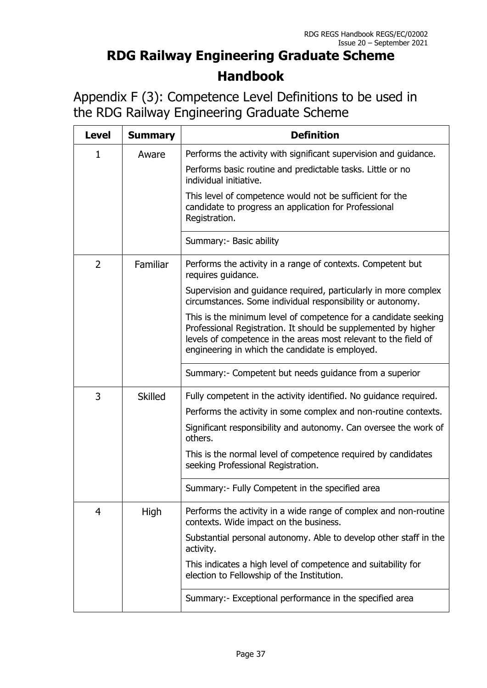Appendix F (3): Competence Level Definitions to be used in the RDG Railway Engineering Graduate Scheme

| <b>Level</b>   | <b>Summary</b> | <b>Definition</b>                                                                                                                                                                                                                                       |
|----------------|----------------|---------------------------------------------------------------------------------------------------------------------------------------------------------------------------------------------------------------------------------------------------------|
| 1              | Aware          | Performs the activity with significant supervision and guidance.                                                                                                                                                                                        |
|                |                | Performs basic routine and predictable tasks. Little or no<br>individual initiative.                                                                                                                                                                    |
|                |                | This level of competence would not be sufficient for the<br>candidate to progress an application for Professional<br>Registration.                                                                                                                      |
|                |                | Summary: - Basic ability                                                                                                                                                                                                                                |
| $\overline{2}$ | Familiar       | Performs the activity in a range of contexts. Competent but<br>requires guidance.                                                                                                                                                                       |
|                |                | Supervision and guidance required, particularly in more complex<br>circumstances. Some individual responsibility or autonomy.                                                                                                                           |
|                |                | This is the minimum level of competence for a candidate seeking<br>Professional Registration. It should be supplemented by higher<br>levels of competence in the areas most relevant to the field of<br>engineering in which the candidate is employed. |
|                |                | Summary: - Competent but needs guidance from a superior                                                                                                                                                                                                 |
| 3              | <b>Skilled</b> | Fully competent in the activity identified. No guidance required.                                                                                                                                                                                       |
|                |                | Performs the activity in some complex and non-routine contexts.                                                                                                                                                                                         |
|                |                | Significant responsibility and autonomy. Can oversee the work of<br>others.                                                                                                                                                                             |
|                |                | This is the normal level of competence required by candidates<br>seeking Professional Registration.                                                                                                                                                     |
|                |                | Summary:- Fully Competent in the specified area                                                                                                                                                                                                         |
| 4              | High           | Performs the activity in a wide range of complex and non-routine<br>contexts. Wide impact on the business.                                                                                                                                              |
|                |                | Substantial personal autonomy. Able to develop other staff in the<br>activity.                                                                                                                                                                          |
|                |                | This indicates a high level of competence and suitability for<br>election to Fellowship of the Institution.                                                                                                                                             |
|                |                | Summary: Exceptional performance in the specified area                                                                                                                                                                                                  |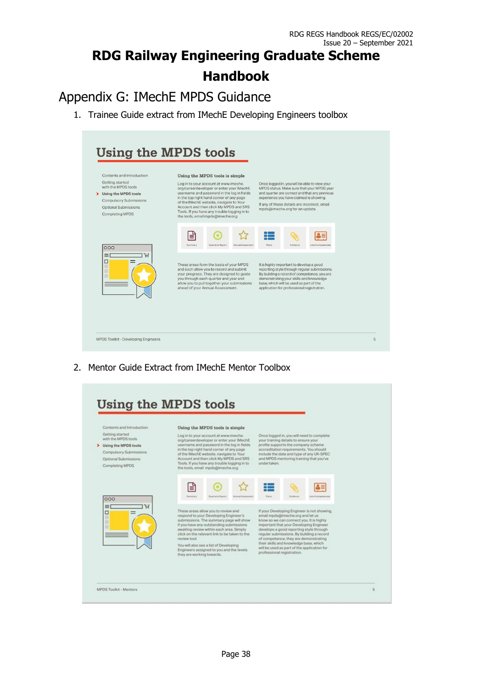## Appendix G: IMechE MPDS Guidance

1. Trainee Guide extract from IMechE Developing Engineers toolbox

| Contents and Introduction                                                                                                                                  | Using the MPDS tools is simple                                                                                                                                                                                                                                                                                                                       |                                                                                                                                                                                                                                                                             |  |  |  |  |
|------------------------------------------------------------------------------------------------------------------------------------------------------------|------------------------------------------------------------------------------------------------------------------------------------------------------------------------------------------------------------------------------------------------------------------------------------------------------------------------------------------------------|-----------------------------------------------------------------------------------------------------------------------------------------------------------------------------------------------------------------------------------------------------------------------------|--|--|--|--|
| Getting started<br>with the MPDS tools<br>> Using the MPDS tools<br><b>Compulsory Submissions</b><br><b>Optional Submissions</b><br><b>Completing MPDS</b> | Log in to your account at www.imeche.<br>org/careerdeveloper or enter your IMechE<br>username and password in the log in fields<br>in the top right hand corner of any page<br>of the IMechE website, navigate to Your<br>Account and then click My MPDS and SRS<br>Tools. If you have any trouble logging in to<br>the tools, email mpds@imeche.org | Once logged in, you will be able to view your<br>MPDS status. Make sure that your MPDS year<br>and quarter are correct and that any previous<br>experience you have claimed is showing.<br>If any of these details are incorrect, email<br>mpds@imeche.org for an update.   |  |  |  |  |
| 000                                                                                                                                                        | ≝<br>Summary.<br>Quarterly Report<br>Annual Assesment                                                                                                                                                                                                                                                                                                | <b>COLOR</b><br>Plans<br>Evidence.<br>List of competencies                                                                                                                                                                                                                  |  |  |  |  |
| Ή<br>$\equiv$<br>□                                                                                                                                         | These areas form the basis of your MPDS<br>and each allow you to record and submit<br>your progress. They are designed to guide<br>you through each quarter and year and<br>allow you to pull together your submissions<br>ahead of your Annual Assessment.                                                                                          | It is highly important to develop a good<br>reporting style through regular submissions.<br>By building a record of competence, you are<br>demonstrating your skills and knowledge<br>base, which will be used as part of the<br>application for professional registration. |  |  |  |  |

2. Mentor Guide Extract from IMechE Mentor Toolbox

| Contents and Introduction.                                                                                                             | Using the MPDS tools is simple                                                                                                                                                                                                                                                                                                                                                                                                                                                                                                                                                                                                                                                                                                                                              |  |
|----------------------------------------------------------------------------------------------------------------------------------------|-----------------------------------------------------------------------------------------------------------------------------------------------------------------------------------------------------------------------------------------------------------------------------------------------------------------------------------------------------------------------------------------------------------------------------------------------------------------------------------------------------------------------------------------------------------------------------------------------------------------------------------------------------------------------------------------------------------------------------------------------------------------------------|--|
| Getting started<br>with the MPDS tools.<br>> Using the MPDS tools<br>Compulsory Submissions<br>Optional Submissions<br>Completing MPDS | Log in to your account at www.imeche.<br>Once logged in, you will need to complete<br>org/careerdeveloper or enter your IMechE.<br>your training details to ensure your<br>username and password in the log in fields<br>profile supports the company scheme<br>in the top right hand comer of any page<br>accreditation requirements. You should<br>of the IMechE website, navigate to Your<br>include the date and type of any UK-SPEC.<br>Account and then click My MPDS and SRS<br>and MPDS mentoring training that you've<br>undertaken.<br>Tools. If you have any trouble logging in to<br>the tools, email mpds@imeche.org                                                                                                                                           |  |
| 000                                                                                                                                    | ₫<br>Summary<br>Planet<br>Quarterly Report<br><b>Editional Academicide</b><br><b><i><u>Euchtene</u></i></b><br>List of competence                                                                                                                                                                                                                                                                                                                                                                                                                                                                                                                                                                                                                                           |  |
| 三<br>□<br>Ħ<br>п                                                                                                                       | These areas allow you to review and<br>If your Developing Engineer is not showing.<br>respond to your Developing Engineer's<br>email mpds@imeche.org and let us<br>submissions. The summary page will show<br>know so we can connect you. It is highly<br>if you have any outstanding submissions.<br>Important that your Developing Engineer.<br>awaiting review within each area. Simply<br>develops a good reporting style through<br>click on the relevant link to be taken to the<br>regular submissions. By building a record<br>of competence, they are demonstrating<br>review tool.<br>their skills and knowledge base, which<br>You will also see a list of Developing<br>will be used as part of the application for<br>Engineers assigned to you and the levels |  |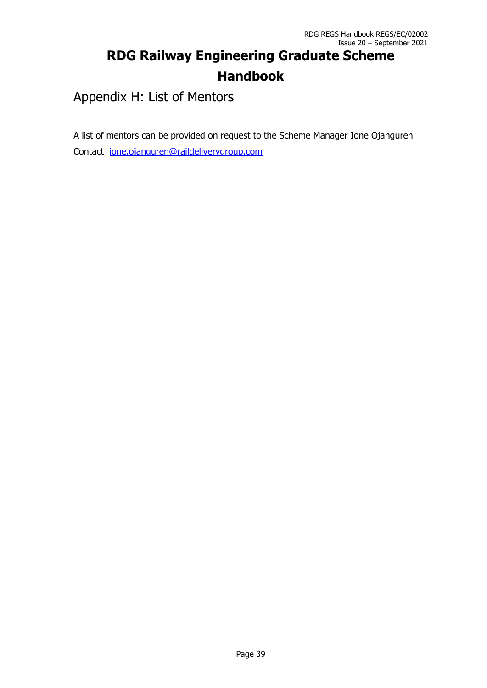Appendix H: List of Mentors

A list of mentors can be provided on request to the Scheme Manager Ione Ojanguren Contact [ione.ojanguren@raildeliverygroup.com](mailto:ione.ojanguren@raildeliverygroup.com)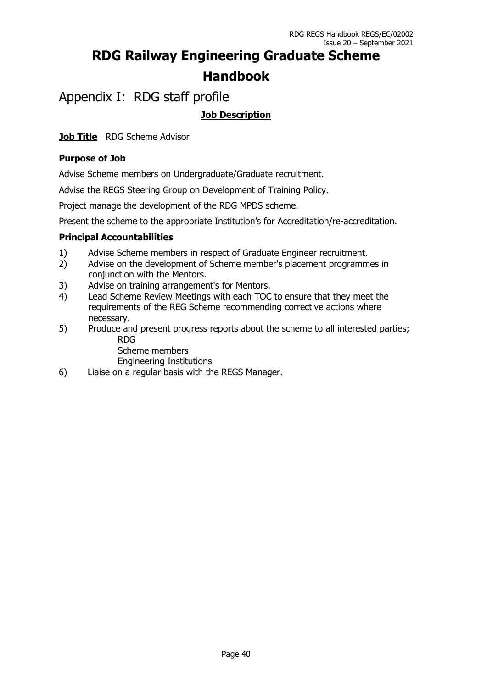Appendix I: RDG staff profile

### **Job Description**

**Job Title** RDG Scheme Advisor

### **Purpose of Job**

Advise Scheme members on Undergraduate/Graduate recruitment.

Advise the REGS Steering Group on Development of Training Policy.

Project manage the development of the RDG MPDS scheme.

Present the scheme to the appropriate Institution's for Accreditation/re-accreditation.

### **Principal Accountabilities**

- 1) Advise Scheme members in respect of Graduate Engineer recruitment.
- 2) Advise on the development of Scheme member's placement programmes in conjunction with the Mentors.
- 3) Advise on training arrangement's for Mentors.
- 4) Lead Scheme Review Meetings with each TOC to ensure that they meet the requirements of the REG Scheme recommending corrective actions where necessary.
- 5) Produce and present progress reports about the scheme to all interested parties; RDG

Scheme members

Engineering Institutions

6) Liaise on a regular basis with the REGS Manager.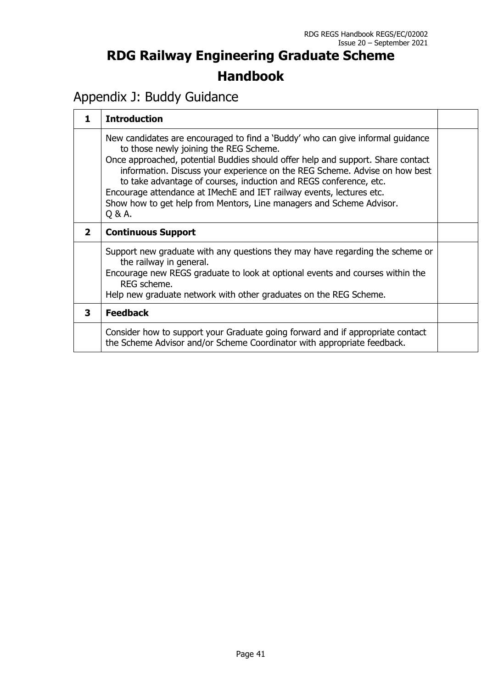### Appendix J: Buddy Guidance

| 1            | <b>Introduction</b>                                                                                                                                                                                                                                                                                                                                                                                                                                                                                                      |  |
|--------------|--------------------------------------------------------------------------------------------------------------------------------------------------------------------------------------------------------------------------------------------------------------------------------------------------------------------------------------------------------------------------------------------------------------------------------------------------------------------------------------------------------------------------|--|
|              | New candidates are encouraged to find a 'Buddy' who can give informal guidance<br>to those newly joining the REG Scheme.<br>Once approached, potential Buddies should offer help and support. Share contact<br>information. Discuss your experience on the REG Scheme. Advise on how best<br>to take advantage of courses, induction and REGS conference, etc.<br>Encourage attendance at IMechE and IET railway events, lectures etc.<br>Show how to get help from Mentors, Line managers and Scheme Advisor.<br>Q & A. |  |
| $\mathbf{2}$ | <b>Continuous Support</b>                                                                                                                                                                                                                                                                                                                                                                                                                                                                                                |  |
|              | Support new graduate with any questions they may have regarding the scheme or<br>the railway in general.<br>Encourage new REGS graduate to look at optional events and courses within the<br>REG scheme.<br>Help new graduate network with other graduates on the REG Scheme.                                                                                                                                                                                                                                            |  |
| 3            | <b>Feedback</b>                                                                                                                                                                                                                                                                                                                                                                                                                                                                                                          |  |
|              | Consider how to support your Graduate going forward and if appropriate contact<br>the Scheme Advisor and/or Scheme Coordinator with appropriate feedback.                                                                                                                                                                                                                                                                                                                                                                |  |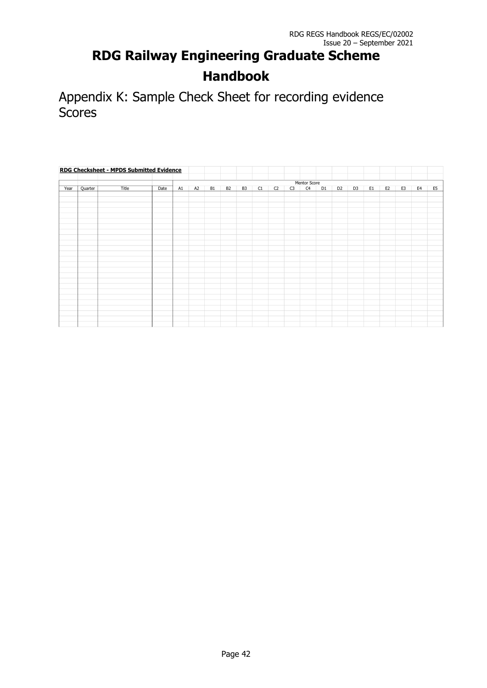Appendix K: Sample Check Sheet for recording evidence Scores

| <b>RDG Checksheet - MPDS Submitted Evidence</b> |         |       |      |    |    |    |                |                |    |                |    |                |                |                |                |    |                |                |                |                |
|-------------------------------------------------|---------|-------|------|----|----|----|----------------|----------------|----|----------------|----|----------------|----------------|----------------|----------------|----|----------------|----------------|----------------|----------------|
|                                                 |         |       |      |    |    |    |                |                |    |                |    |                |                |                |                |    |                |                |                |                |
|                                                 |         |       |      |    |    |    |                |                |    |                |    | Mentor Score   |                |                |                |    |                |                |                |                |
| Year                                            | Quarter | Title | Date | A1 | A2 | B1 | B <sub>2</sub> | B <sub>3</sub> | C1 | C <sub>2</sub> | C3 | C <sub>4</sub> | D <sub>1</sub> | D <sub>2</sub> | D <sub>3</sub> | E1 | E <sub>2</sub> | E <sub>3</sub> | E <sub>4</sub> | E <sub>5</sub> |
|                                                 |         |       |      |    |    |    |                |                |    |                |    |                |                |                |                |    |                |                |                |                |
|                                                 |         |       |      |    |    |    |                |                |    |                |    |                |                |                |                |    |                |                |                |                |
|                                                 |         |       |      |    |    |    |                |                |    |                |    |                |                |                |                |    |                |                |                |                |
|                                                 |         |       |      |    |    |    |                |                |    |                |    |                |                |                |                |    |                |                |                |                |
|                                                 |         |       |      |    |    |    |                |                |    |                |    |                |                |                |                |    |                |                |                |                |
|                                                 |         |       |      |    |    |    |                |                |    |                |    |                |                |                |                |    |                |                |                |                |
|                                                 |         |       |      |    |    |    |                |                |    |                |    |                |                |                |                |    |                |                |                |                |
|                                                 |         |       |      |    |    |    |                |                |    |                |    |                |                |                |                |    |                |                |                |                |
|                                                 |         |       |      |    |    |    |                |                |    |                |    |                |                |                |                |    |                |                |                |                |
|                                                 |         |       |      |    |    |    |                |                |    |                |    |                |                |                |                |    |                |                |                |                |
|                                                 |         |       |      |    |    |    |                |                |    |                |    |                |                |                |                |    |                |                |                |                |
|                                                 |         |       |      |    |    |    |                |                |    |                |    |                |                |                |                |    |                |                |                |                |
|                                                 |         |       |      |    |    |    |                |                |    |                |    |                |                |                |                |    |                |                |                |                |
|                                                 |         |       |      |    |    |    |                |                |    |                |    |                |                |                |                |    |                |                |                |                |
|                                                 |         |       |      |    |    |    |                |                |    |                |    |                |                |                |                |    |                |                |                |                |
|                                                 |         |       |      |    |    |    |                |                |    |                |    |                |                |                |                |    |                |                |                |                |
|                                                 |         |       |      |    |    |    |                |                |    |                |    |                |                |                |                |    |                |                |                |                |
|                                                 |         |       |      |    |    |    |                |                |    |                |    |                |                |                |                |    |                |                |                |                |
|                                                 |         |       |      |    |    |    |                |                |    |                |    |                |                |                |                |    |                |                |                |                |
|                                                 |         |       |      |    |    |    |                |                |    |                |    |                |                |                |                |    |                |                |                |                |
|                                                 |         |       |      |    |    |    |                |                |    |                |    |                |                |                |                |    |                |                |                |                |
|                                                 |         |       |      |    |    |    |                |                |    |                |    |                |                |                |                |    |                |                |                |                |
|                                                 |         |       |      |    |    |    |                |                |    |                |    |                |                |                |                |    |                |                |                |                |
|                                                 |         |       |      |    |    |    |                |                |    |                |    |                |                |                |                |    |                |                |                |                |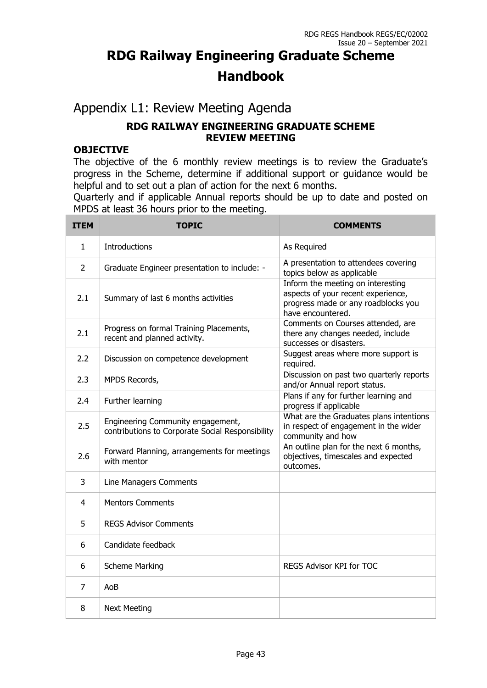### Appendix L1: Review Meeting Agenda

### **RDG RAILWAY ENGINEERING GRADUATE SCHEME REVIEW MEETING**

### **OBJECTIVE**

The objective of the 6 monthly review meetings is to review the Graduate's progress in the Scheme, determine if additional support or guidance would be helpful and to set out a plan of action for the next 6 months.

Quarterly and if applicable Annual reports should be up to date and posted on MPDS at least 36 hours prior to the meeting.

| <b>ITEM</b>    | <b>TOPIC</b>                                                                          | <b>COMMENTS</b>                                                                                                                     |
|----------------|---------------------------------------------------------------------------------------|-------------------------------------------------------------------------------------------------------------------------------------|
| 1.             | <b>Introductions</b>                                                                  | As Required                                                                                                                         |
| $\overline{2}$ | Graduate Engineer presentation to include: -                                          | A presentation to attendees covering<br>topics below as applicable                                                                  |
| 2.1            | Summary of last 6 months activities                                                   | Inform the meeting on interesting<br>aspects of your recent experience,<br>progress made or any roadblocks you<br>have encountered. |
| 2.1            | Progress on formal Training Placements,<br>recent and planned activity.               | Comments on Courses attended, are<br>there any changes needed, include<br>successes or disasters.                                   |
| 2.2            | Discussion on competence development                                                  | Suggest areas where more support is<br>required.                                                                                    |
| 2.3            | MPDS Records,                                                                         | Discussion on past two quarterly reports<br>and/or Annual report status.                                                            |
| 2.4            | Further learning                                                                      | Plans if any for further learning and<br>progress if applicable                                                                     |
| 2.5            | Engineering Community engagement,<br>contributions to Corporate Social Responsibility | What are the Graduates plans intentions<br>in respect of engagement in the wider<br>community and how                               |
| 2.6            | Forward Planning, arrangements for meetings<br>with mentor                            | An outline plan for the next 6 months,<br>objectives, timescales and expected<br>outcomes.                                          |
| 3              | Line Managers Comments                                                                |                                                                                                                                     |
| 4              | <b>Mentors Comments</b>                                                               |                                                                                                                                     |
| 5              | <b>REGS Advisor Comments</b>                                                          |                                                                                                                                     |
| 6              | Candidate feedback                                                                    |                                                                                                                                     |
| 6              | <b>Scheme Marking</b>                                                                 | <b>REGS Advisor KPI for TOC</b>                                                                                                     |
| 7              | AoB                                                                                   |                                                                                                                                     |
| 8              | <b>Next Meeting</b>                                                                   |                                                                                                                                     |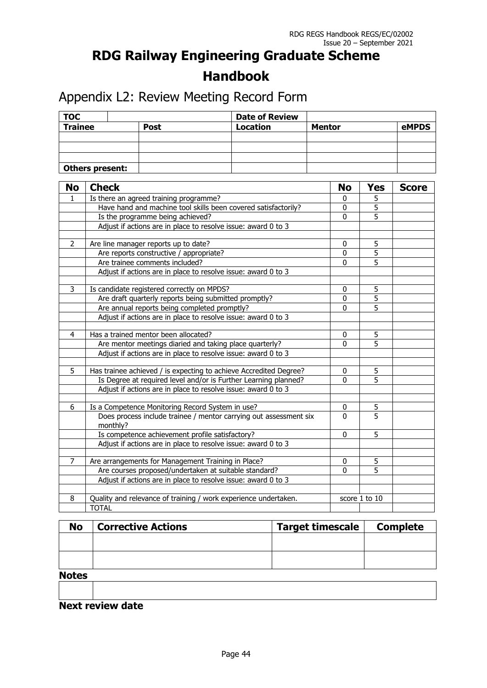Appendix L2: Review Meeting Record Form

| <b>TOC</b>      |             | <b>Date of Review</b> |               |       |
|-----------------|-------------|-----------------------|---------------|-------|
| <b>Trainee</b>  | <b>Post</b> | <b>Location</b>       | <b>Mentor</b> | eMPDS |
|                 |             |                       |               |       |
|                 |             |                       |               |       |
|                 |             |                       |               |       |
| Others present: |             |                       |               |       |

| <b>No</b>      | <b>Check</b>                                                                  | <b>No</b>    | <b>Yes</b>     | <b>Score</b> |
|----------------|-------------------------------------------------------------------------------|--------------|----------------|--------------|
| 1              | Is there an agreed training programme?                                        | 0            | 5              |              |
|                | Have hand and machine tool skills been covered satisfactorily?                | 0            | $\overline{5}$ |              |
|                | Is the programme being achieved?                                              | $\Omega$     | $\overline{5}$ |              |
|                | Adjust if actions are in place to resolve issue: award 0 to 3                 |              |                |              |
|                |                                                                               |              |                |              |
| $\overline{2}$ | Are line manager reports up to date?                                          | 0            | 5              |              |
|                | Are reports constructive / appropriate?                                       | $\mathbf{0}$ | $\overline{5}$ |              |
|                | Are trainee comments included?                                                | $\mathbf{0}$ | $\overline{5}$ |              |
|                | Adjust if actions are in place to resolve issue: award 0 to 3                 |              |                |              |
| 3              | Is candidate registered correctly on MPDS?                                    | $\mathbf{0}$ | 5              |              |
|                | Are draft quarterly reports being submitted promptly?                         | $\mathbf{0}$ | $\overline{5}$ |              |
|                | Are annual reports being completed promptly?                                  | $\mathbf{0}$ | $\overline{5}$ |              |
|                | Adjust if actions are in place to resolve issue: award 0 to 3                 |              |                |              |
|                |                                                                               |              |                |              |
| $\overline{4}$ | Has a trained mentor been allocated?                                          | $\mathbf{0}$ | $\overline{5}$ |              |
|                | Are mentor meetings diaried and taking place quarterly?                       | $\mathbf 0$  | 5              |              |
|                | Adjust if actions are in place to resolve issue: award 0 to 3                 |              |                |              |
|                |                                                                               |              |                |              |
| 5              | Has trainee achieved / is expecting to achieve Accredited Degree?             | $\mathbf 0$  | 5              |              |
|                | Is Degree at required level and/or is Further Learning planned?               | $\Omega$     | 5              |              |
|                | Adjust if actions are in place to resolve issue: award 0 to 3                 |              |                |              |
|                |                                                                               |              |                |              |
| 6              | Is a Competence Monitoring Record System in use?                              | 0            | $\overline{5}$ |              |
|                | Does process include trainee / mentor carrying out assessment six<br>monthly? | $\Omega$     | $\overline{5}$ |              |
|                | Is competence achievement profile satisfactory?                               | $\mathbf 0$  | 5              |              |
|                | Adjust if actions are in place to resolve issue: award 0 to 3                 |              |                |              |
|                |                                                                               |              |                |              |
| 7              | Are arrangements for Management Training in Place?                            | 0            | 5              |              |
|                | Are courses proposed/undertaken at suitable standard?                         | $\mathbf{0}$ | $\overline{5}$ |              |
|                | Adjust if actions are in place to resolve issue: award 0 to 3                 |              |                |              |
|                |                                                                               |              |                |              |
| 8              | Quality and relevance of training / work experience undertaken.               |              | score 1 to 10  |              |
|                | <b>TOTAL</b>                                                                  |              |                |              |

| <b>No</b>    | <b>Corrective Actions</b> | <b>Target timescale</b> | <b>Complete</b> |
|--------------|---------------------------|-------------------------|-----------------|
|              |                           |                         |                 |
|              |                           |                         |                 |
|              |                           |                         |                 |
| <b>Notes</b> |                           |                         |                 |
|              |                           |                         |                 |

**Next review date**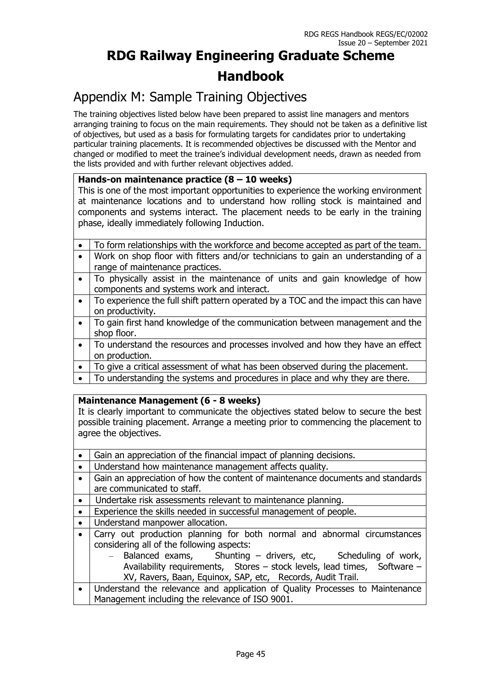### Appendix M: Sample Training Objectives

The training objectives listed below have been prepared to assist line managers and mentors arranging training to focus on the main requirements. They should not be taken as a definitive list of objectives, but used as a basis for formulating targets for candidates prior to undertaking particular training placements. It is recommended objectives be discussed with the Mentor and changed or modified to meet the trainee's individual development needs, drawn as needed from the lists provided and with further relevant objectives added.

#### **Hands-on maintenance practice (8 – 10 weeks)**

This is one of the most important opportunities to experience the working environment at maintenance locations and to understand how rolling stock is maintained and components and systems interact. The placement needs to be early in the training phase, ideally immediately following Induction.

|           | To form relationships with the workforce and become accepted as part of the team.   |
|-----------|-------------------------------------------------------------------------------------|
| $\bullet$ | Work on shop floor with fitters and/or technicians to gain an understanding of a    |
|           | range of maintenance practices.                                                     |
| $\bullet$ | To physically assist in the maintenance of units and gain knowledge of how          |
|           | components and systems work and interact.                                           |
|           | To experience the full shift pattern operated by a TOC and the impact this can have |
|           | on productivity.                                                                    |
| $\bullet$ | To gain first hand knowledge of the communication between management and the        |
|           | shop floor.                                                                         |
| $\bullet$ | To understand the resources and processes involved and how they have an effect      |
|           | on production.                                                                      |
| $\bullet$ | To give a critical assessment of what has been observed during the placement.       |
| $\bullet$ | To understanding the systems and procedures in place and why they are there.        |

#### **Maintenance Management (6 - 8 weeks)**

It is clearly important to communicate the objectives stated below to secure the best possible training placement. Arrange a meeting prior to commencing the placement to agree the objectives.

| Gain an appreciation of the financial impact of planning decisions.            |  |
|--------------------------------------------------------------------------------|--|
|                                                                                |  |
| Understand how maintenance management affects quality.                         |  |
| Gain an appreciation of how the content of maintenance documents and standards |  |
| are communicated to staff.                                                     |  |
| Undertake risk assessments relevant to maintenance planning.<br>$\bullet$      |  |
| Experience the skills needed in successful management of people.<br>$\bullet$  |  |
| Understand manpower allocation.                                                |  |
| Carry out production planning for both normal and abnormal circumstances       |  |
| considering all of the following aspects:                                      |  |
| - Balanced exams, Shunting - drivers, etc, Scheduling of work,                 |  |
| Availability requirements, Stores - stock levels, lead times, Software -       |  |
| XV, Ravers, Baan, Equinox, SAP, etc, Records, Audit Trail.                     |  |
| Understand the relevance and application of Quality Processes to Maintenance   |  |
| Management including the relevance of ISO 9001.                                |  |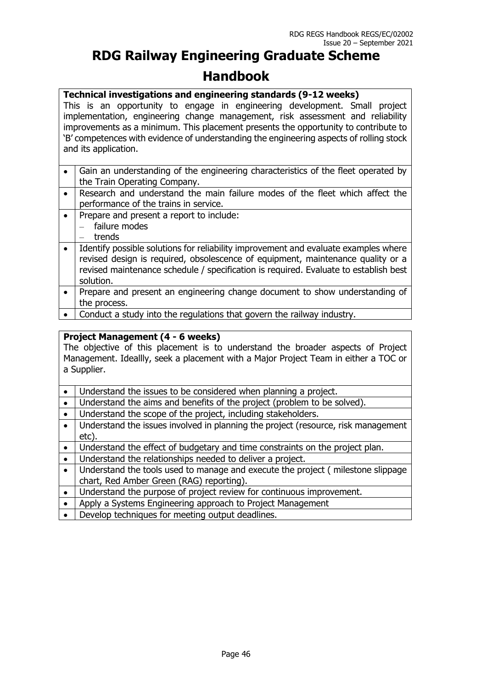#### **Technical investigations and engineering standards (9-12 weeks)**

This is an opportunity to engage in engineering development. Small project implementation, engineering change management, risk assessment and reliability improvements as a minimum. This placement presents the opportunity to contribute to 'B' competences with evidence of understanding the engineering aspects of rolling stock and its application.

- Gain an understanding of the engineering characteristics of the fleet operated by the Train Operating Company.
- Research and understand the main failure modes of the fleet which affect the performance of the trains in service.
- Prepare and present a report to include: – failure modes – trends
- I Identify possible solutions for reliability improvement and evaluate examples where revised design is required, obsolescence of equipment, maintenance quality or a revised maintenance schedule / specification is required. Evaluate to establish best solution.
- Prepare and present an engineering change document to show understanding of the process.
- Conduct a study into the regulations that govern the railway industry.

#### **Project Management (4 - 6 weeks)**

The objective of this placement is to understand the broader aspects of Project Management. Ideallly, seek a placement with a Major Project Team in either a TOC or a Supplier.

- Understand the issues to be considered when planning a project.
- Understand the aims and benefits of the project (problem to be solved).
- Understand the scope of the project, including stakeholders.
- Understand the issues involved in planning the project (resource, risk management etc).
- Understand the effect of budgetary and time constraints on the project plan.
- Understand the relationships needed to deliver a project.
- Understand the tools used to manage and execute the project ( milestone slippage chart, Red Amber Green (RAG) reporting).
- Understand the purpose of project review for continuous improvement.
- Apply a Systems Engineering approach to Project Management
- Develop techniques for meeting output deadlines.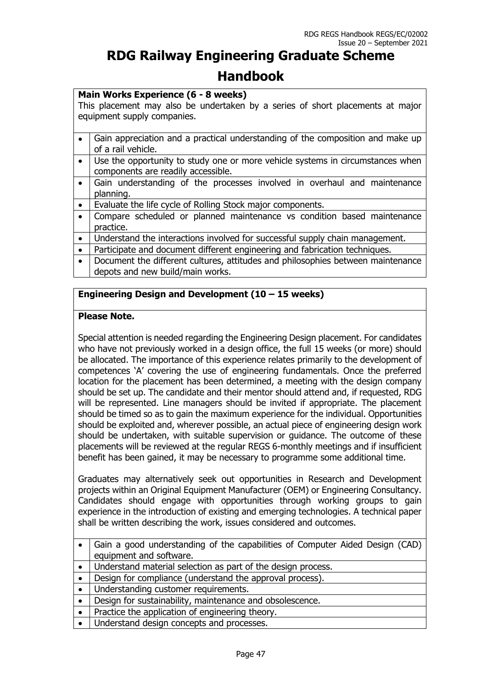#### **Main Works Experience (6 - 8 weeks)**

This placement may also be undertaken by a series of short placements at major equipment supply companies.

- Gain appreciation and a practical understanding of the composition and make up of a rail vehicle.
- Use the opportunity to study one or more vehicle systems in circumstances when components are readily accessible.
- Gain understanding of the processes involved in overhaul and maintenance planning.
- Evaluate the life cycle of Rolling Stock major components.
- Compare scheduled or planned maintenance vs condition based maintenance practice.
- Understand the interactions involved for successful supply chain management.
- Participate and document different engineering and fabrication techniques.
- Document the different cultures, attitudes and philosophies between maintenance depots and new build/main works.

#### **Engineering Design and Development (10 – 15 weeks)**

#### **Please Note.**

Special attention is needed regarding the Engineering Design placement. For candidates who have not previously worked in a design office, the full 15 weeks (or more) should be allocated. The importance of this experience relates primarily to the development of competences 'A' covering the use of engineering fundamentals. Once the preferred location for the placement has been determined, a meeting with the design company should be set up. The candidate and their mentor should attend and, if requested, RDG will be represented. Line managers should be invited if appropriate. The placement should be timed so as to gain the maximum experience for the individual. Opportunities should be exploited and, wherever possible, an actual piece of engineering design work should be undertaken, with suitable supervision or guidance. The outcome of these placements will be reviewed at the regular REGS 6-monthly meetings and if insufficient benefit has been gained, it may be necessary to programme some additional time.

Graduates may alternatively seek out opportunities in Research and Development projects within an Original Equipment Manufacturer (OEM) or Engineering Consultancy. Candidates should engage with opportunities through working groups to gain experience in the introduction of existing and emerging technologies. A technical paper shall be written describing the work, issues considered and outcomes.

|           | Gain a good understanding of the capabilities of Computer Aided Design (CAD) |
|-----------|------------------------------------------------------------------------------|
|           | equipment and software.                                                      |
| $\bullet$ | Understand material selection as part of the design process.                 |
| $\bullet$ | Design for compliance (understand the approval process).                     |
| $\bullet$ | Understanding customer requirements.                                         |
| $\bullet$ | Design for sustainability, maintenance and obsolescence.                     |
| $\bullet$ | Practice the application of engineering theory.                              |
|           | Understand design concepts and processes.                                    |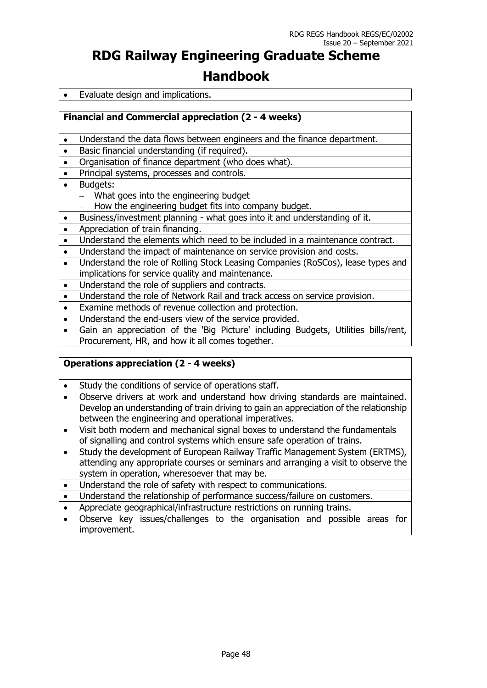• Evaluate design and implications.

**Financial and Commercial appreciation (2 - 4 weeks)**

• Understand the data flows between engineers and the finance department.

- Basic financial understanding (if required).
- | Organisation of finance department (who does what).
- Principal systems, processes and controls.
- Budgets:
	- What goes into the engineering budget
	- How the engineering budget fits into company budget.
- Business/investment planning what goes into it and understanding of it.
- Appreciation of train financing.
- Understand the elements which need to be included in a maintenance contract.
- Understand the impact of maintenance on service provision and costs.
- Understand the role of Rolling Stock Leasing Companies (RoSCos), lease types and implications for service quality and maintenance.
- Understand the role of suppliers and contracts.
- Understand the role of Network Rail and track access on service provision.
- Examine methods of revenue collection and protection.
- | Understand the end-users view of the service provided.
- Gain an appreciation of the 'Big Picture' including Budgets, Utilities bills/rent, Procurement, HR, and how it all comes together.

| <b>Operations appreciation (2 - 4 weeks)</b>                                          |  |  |
|---------------------------------------------------------------------------------------|--|--|
| Study the conditions of service of operations staff.                                  |  |  |
| Observe drivers at work and understand how driving standards are maintained.          |  |  |
| Develop an understanding of train driving to gain an appreciation of the relationship |  |  |
| between the engineering and operational imperatives.                                  |  |  |
| Visit both modern and mechanical signal boxes to understand the fundamentals          |  |  |
| of signalling and control systems which ensure safe operation of trains.              |  |  |
| Study the development of European Railway Traffic Management System (ERTMS),          |  |  |
| attending any appropriate courses or seminars and arranging a visit to observe the    |  |  |
| system in operation, wheresoever that may be.                                         |  |  |
| Understand the role of safety with respect to communications.                         |  |  |
| Understand the relationship of performance success/failure on customers.              |  |  |
| Appreciate geographical/infrastructure restrictions on running trains.                |  |  |
| Observe key issues/challenges to the organisation and possible areas for              |  |  |
| improvement.                                                                          |  |  |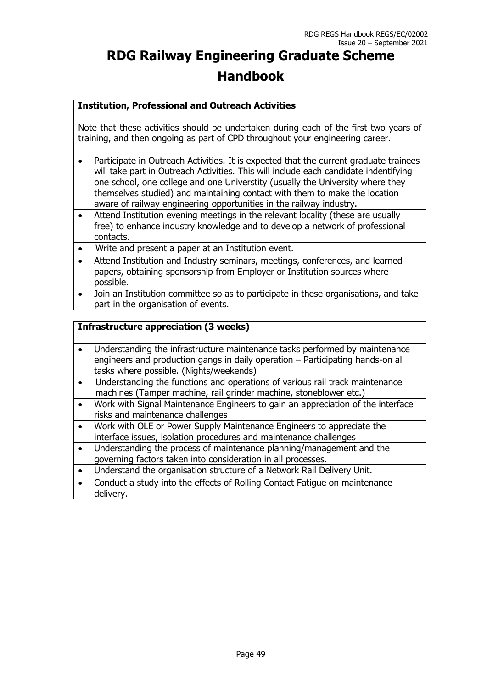#### **Institution, Professional and Outreach Activities**

Note that these activities should be undertaken during each of the first two years of training, and then ongoing as part of CPD throughout your engineering career.

- Participate in Outreach Activities. It is expected that the current graduate trainees will take part in Outreach Activities. This will include each candidate indentifying one school, one college and one Universtity (usually the University where they themselves studied) and maintaining contact with them to make the location aware of railway engineering opportunities in the railway industry.
- Attend Institution evening meetings in the relevant locality (these are usually free) to enhance industry knowledge and to develop a network of professional contacts.
- Write and present a paper at an Institution event.
- Attend Institution and Industry seminars, meetings, conferences, and learned papers, obtaining sponsorship from Employer or Institution sources where possible.
- Join an Institution committee so as to participate in these organisations, and take part in the organisation of events.

#### **Infrastructure appreciation (3 weeks)**

|           | Understanding the infrastructure maintenance tasks performed by maintenance<br>engineers and production gangs in daily operation - Participating hands-on all<br>tasks where possible. (Nights/weekends) |
|-----------|----------------------------------------------------------------------------------------------------------------------------------------------------------------------------------------------------------|
|           | Understanding the functions and operations of various rail track maintenance<br>machines (Tamper machine, rail grinder machine, stoneblower etc.)                                                        |
|           | Work with Signal Maintenance Engineers to gain an appreciation of the interface<br>risks and maintenance challenges                                                                                      |
|           | Work with OLE or Power Supply Maintenance Engineers to appreciate the<br>interface issues, isolation procedures and maintenance challenges                                                               |
| $\bullet$ | Understanding the process of maintenance planning/management and the<br>governing factors taken into consideration in all processes.                                                                     |
| $\bullet$ | Understand the organisation structure of a Network Rail Delivery Unit.                                                                                                                                   |
|           | Conduct a study into the effects of Rolling Contact Fatigue on maintenance<br>delivery.                                                                                                                  |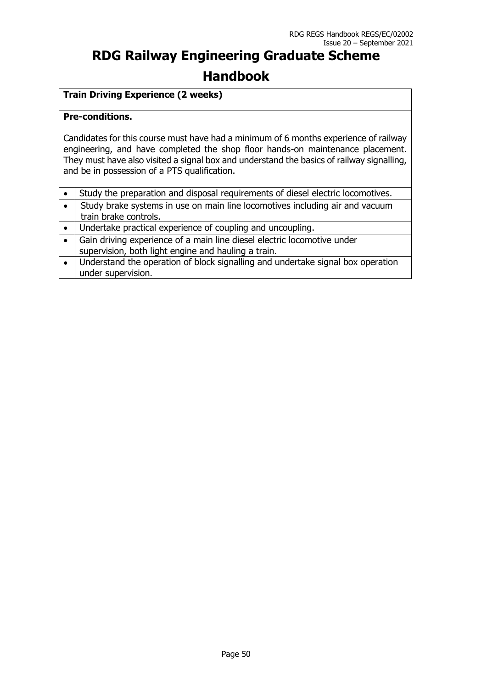### **Train Driving Experience (2 weeks)**

#### **Pre-conditions.**

Candidates for this course must have had a minimum of 6 months experience of railway engineering, and have completed the shop floor hands-on maintenance placement. They must have also visited a signal box and understand the basics of railway signalling, and be in possession of a PTS qualification.

|           | Study the preparation and disposal requirements of diesel electric locomotives.                                                |
|-----------|--------------------------------------------------------------------------------------------------------------------------------|
| $\bullet$ | Study brake systems in use on main line locomotives including air and vacuum<br>train brake controls.                          |
| $\bullet$ | Undertake practical experience of coupling and uncoupling.                                                                     |
|           | Gain driving experience of a main line diesel electric locomotive under<br>supervision, both light engine and hauling a train. |
| $\bullet$ | Understand the operation of block signalling and undertake signal box operation<br>under supervision.                          |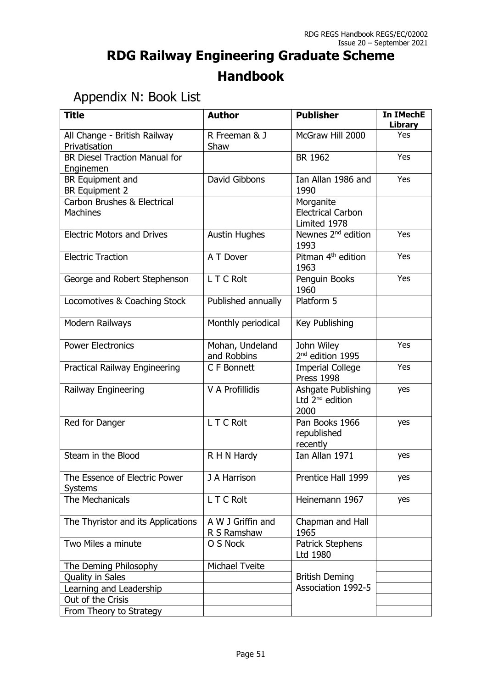## Appendix N: Book List

| <b>Title</b>                                              | <b>Author</b>                    | <b>Publisher</b>                                      | In IMechE<br><b>Library</b> |
|-----------------------------------------------------------|----------------------------------|-------------------------------------------------------|-----------------------------|
| All Change - British Railway<br>Privatisation             | R Freeman & J<br>Shaw            | McGraw Hill 2000                                      | Yes                         |
| <b>BR Diesel Traction Manual for</b><br>Enginemen         |                                  | BR 1962                                               | Yes                         |
| BR Equipment and<br><b>BR Equipment 2</b>                 | David Gibbons                    | Ian Allan 1986 and<br>1990                            | Yes                         |
| <b>Carbon Brushes &amp; Electrical</b><br><b>Machines</b> |                                  | Morganite<br><b>Electrical Carbon</b><br>Limited 1978 |                             |
| <b>Electric Motors and Drives</b>                         | <b>Austin Hughes</b>             | Newnes 2 <sup>nd</sup> edition<br>1993                | Yes                         |
| <b>Electric Traction</b>                                  | A T Dover                        | Pitman 4 <sup>th</sup> edition<br>1963                | Yes                         |
| George and Robert Stephenson                              | L T C Rolt                       | Penguin Books<br>1960                                 | Yes                         |
| Locomotives & Coaching Stock                              | Published annually               | Platform 5                                            |                             |
| Modern Railways                                           | Monthly periodical               | Key Publishing                                        |                             |
| <b>Power Electronics</b>                                  | Mohan, Undeland<br>and Robbins   | John Wiley<br>2 <sup>nd</sup> edition 1995            | Yes                         |
| Practical Railway Engineering                             | C F Bonnett                      | <b>Imperial College</b><br><b>Press 1998</b>          | Yes                         |
| Railway Engineering                                       | V A Profillidis                  | Ashgate Publishing<br>Ltd $2^{nd}$ edition<br>2000    | yes                         |
| Red for Danger                                            | L T C Rolt                       | Pan Books 1966<br>republished<br>recently             | yes                         |
| Steam in the Blood                                        | R H N Hardy                      | Ian Allan 1971                                        | yes                         |
| The Essence of Electric Power<br><b>Systems</b>           | J A Harrison                     | Prentice Hall 1999                                    | yes                         |
| The Mechanicals                                           | L T C Rolt                       | Heinemann 1967                                        | yes                         |
| The Thyristor and its Applications                        | A W J Griffin and<br>R S Ramshaw | Chapman and Hall<br>1965                              |                             |
| Two Miles a minute                                        | O S Nock                         | Patrick Stephens<br>Ltd 1980                          |                             |
| The Deming Philosophy                                     | <b>Michael Tveite</b>            |                                                       |                             |
| Quality in Sales                                          |                                  | <b>British Deming</b>                                 |                             |
| Learning and Leadership                                   |                                  | Association 1992-5                                    |                             |
| Out of the Crisis                                         |                                  |                                                       |                             |
| From Theory to Strategy                                   |                                  |                                                       |                             |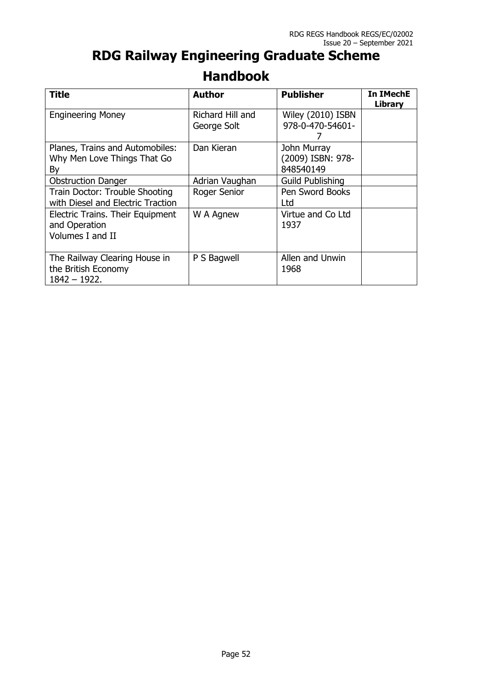| <b>Title</b>                                                           | <b>Author</b>                   | <b>Publisher</b>                              | <b>In IMechE</b><br>Library |
|------------------------------------------------------------------------|---------------------------------|-----------------------------------------------|-----------------------------|
| <b>Engineering Money</b>                                               | Richard Hill and<br>George Solt | Wiley (2010) ISBN<br>978-0-470-54601-         |                             |
| Planes, Trains and Automobiles:<br>Why Men Love Things That Go<br>By   | Dan Kieran                      | John Murray<br>(2009) ISBN: 978-<br>848540149 |                             |
| <b>Obstruction Danger</b>                                              | Adrian Vaughan                  | <b>Guild Publishing</b>                       |                             |
| Train Doctor: Trouble Shooting<br>with Diesel and Electric Traction    | Roger Senior                    | Pen Sword Books<br>Ltd                        |                             |
| Electric Trains. Their Equipment<br>and Operation<br>Volumes I and II  | W A Agnew                       | Virtue and Co Ltd<br>1937                     |                             |
| The Railway Clearing House in<br>the British Economy<br>$1842 - 1922.$ | P S Bagwell                     | Allen and Unwin<br>1968                       |                             |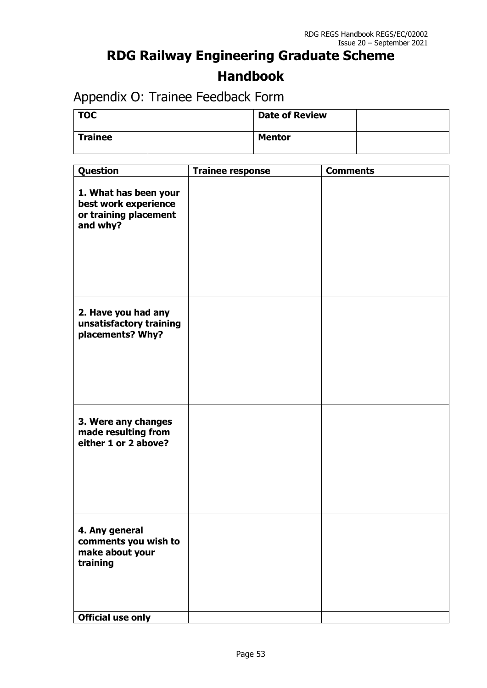Appendix O: Trainee Feedback Form

| <b>TOC</b>     | <b>Date of Review</b> |  |
|----------------|-----------------------|--|
| <b>Trainee</b> | <b>Mentor</b>         |  |

| Question                                                                           | <b>Trainee response</b> | <b>Comments</b> |
|------------------------------------------------------------------------------------|-------------------------|-----------------|
| 1. What has been your<br>best work experience<br>or training placement<br>and why? |                         |                 |
| 2. Have you had any<br>unsatisfactory training<br>placements? Why?                 |                         |                 |
| 3. Were any changes<br>made resulting from<br>either 1 or 2 above?                 |                         |                 |
| 4. Any general<br>comments you wish to<br>make about your<br>training              |                         |                 |
| <b>Official use only</b>                                                           |                         |                 |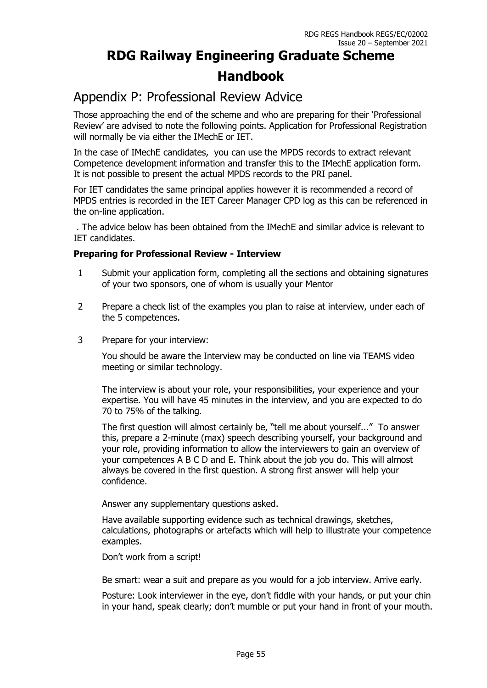### Appendix P: Professional Review Advice

Those approaching the end of the scheme and who are preparing for their 'Professional Review' are advised to note the following points. Application for Professional Registration will normally be via either the IMechE or IET.

In the case of IMechE candidates, you can use the MPDS records to extract relevant Competence development information and transfer this to the IMechE application form. It is not possible to present the actual MPDS records to the PRI panel.

For IET candidates the same principal applies however it is recommended a record of MPDS entries is recorded in the IET Career Manager CPD log as this can be referenced in the on-line application.

. The advice below has been obtained from the IMechE and similar advice is relevant to IET candidates.

#### **Preparing for Professional Review - Interview**

- 1 Submit your application form, completing all the sections and obtaining signatures of your two sponsors, one of whom is usually your Mentor
- 2 Prepare a check list of the examples you plan to raise at interview, under each of the 5 competences.
- 3 Prepare for your interview:

You should be aware the Interview may be conducted on line via TEAMS video meeting or similar technology.

The interview is about your role, your responsibilities, your experience and your expertise. You will have 45 minutes in the interview, and you are expected to do 70 to 75% of the talking.

The first question will almost certainly be, "tell me about yourself..." To answer this, prepare a 2-minute (max) speech describing yourself, your background and your role, providing information to allow the interviewers to gain an overview of your competences A B C D and E. Think about the job you do. This will almost always be covered in the first question. A strong first answer will help your confidence.

Answer any supplementary questions asked.

Have available supporting evidence such as technical drawings, sketches, calculations, photographs or artefacts which will help to illustrate your competence examples.

Don't work from a script!

Be smart: wear a suit and prepare as you would for a job interview. Arrive early.

Posture: Look interviewer in the eye, don't fiddle with your hands, or put your chin in your hand, speak clearly; don't mumble or put your hand in front of your mouth.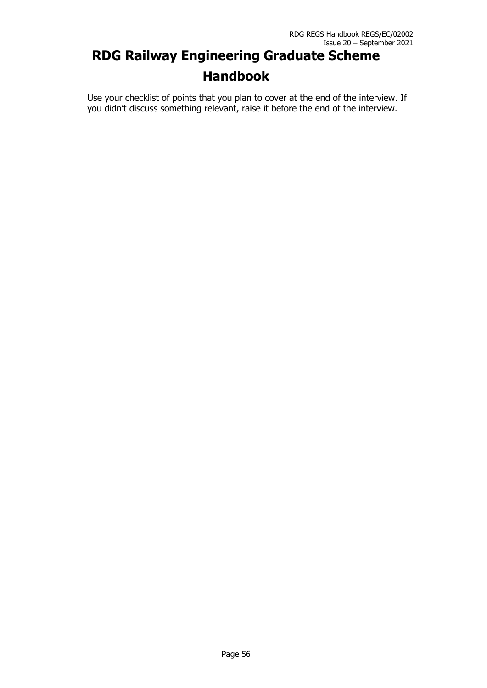Use your checklist of points that you plan to cover at the end of the interview. If you didn't discuss something relevant, raise it before the end of the interview.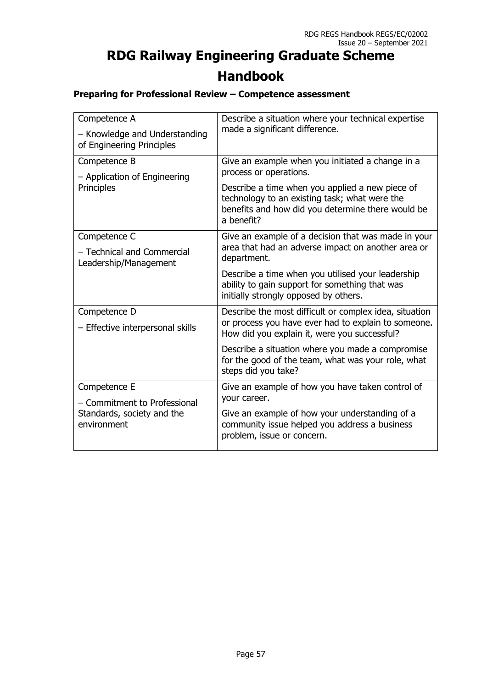### **Preparing for Professional Review – Competence assessment**

| Competence A<br>- Knowledge and Understanding<br>of Engineering Principles | Describe a situation where your technical expertise<br>made a significant difference.                                                                               |
|----------------------------------------------------------------------------|---------------------------------------------------------------------------------------------------------------------------------------------------------------------|
| Competence B<br>- Application of Engineering                               | Give an example when you initiated a change in a<br>process or operations.                                                                                          |
| Principles                                                                 | Describe a time when you applied a new piece of<br>technology to an existing task; what were the<br>benefits and how did you determine there would be<br>a benefit? |
| Competence C<br>- Technical and Commercial<br>Leadership/Management        | Give an example of a decision that was made in your<br>area that had an adverse impact on another area or<br>department.                                            |
|                                                                            | Describe a time when you utilised your leadership<br>ability to gain support for something that was<br>initially strongly opposed by others.                        |
| Competence D<br>- Effective interpersonal skills                           | Describe the most difficult or complex idea, situation<br>or process you have ever had to explain to someone.<br>How did you explain it, were you successful?       |
|                                                                            | Describe a situation where you made a compromise<br>for the good of the team, what was your role, what<br>steps did you take?                                       |
| Competence E<br>- Commitment to Professional                               | Give an example of how you have taken control of<br>your career.                                                                                                    |
| Standards, society and the<br>environment                                  | Give an example of how your understanding of a<br>community issue helped you address a business<br>problem, issue or concern.                                       |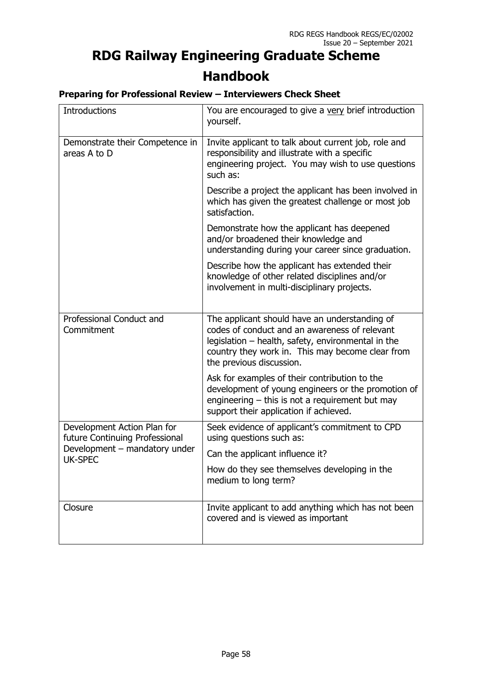### **Preparing for Professional Review – Interviewers Check Sheet**

| Introductions                                                 | You are encouraged to give a very brief introduction<br>yourself.                                                                                                                                                                    |
|---------------------------------------------------------------|--------------------------------------------------------------------------------------------------------------------------------------------------------------------------------------------------------------------------------------|
| Demonstrate their Competence in<br>areas A to D               | Invite applicant to talk about current job, role and<br>responsibility and illustrate with a specific<br>engineering project. You may wish to use questions<br>such as:                                                              |
|                                                               | Describe a project the applicant has been involved in<br>which has given the greatest challenge or most job<br>satisfaction.                                                                                                         |
|                                                               | Demonstrate how the applicant has deepened<br>and/or broadened their knowledge and<br>understanding during your career since graduation.                                                                                             |
|                                                               | Describe how the applicant has extended their<br>knowledge of other related disciplines and/or<br>involvement in multi-disciplinary projects.                                                                                        |
| Professional Conduct and<br>Commitment                        | The applicant should have an understanding of<br>codes of conduct and an awareness of relevant<br>legislation – health, safety, environmental in the<br>country they work in. This may become clear from<br>the previous discussion. |
|                                                               | Ask for examples of their contribution to the<br>development of young engineers or the promotion of<br>engineering $-$ this is not a requirement but may<br>support their application if achieved.                                   |
| Development Action Plan for<br>future Continuing Professional | Seek evidence of applicant's commitment to CPD<br>using questions such as:                                                                                                                                                           |
| Development - mandatory under<br><b>UK-SPEC</b>               | Can the applicant influence it?                                                                                                                                                                                                      |
|                                                               | How do they see themselves developing in the<br>medium to long term?                                                                                                                                                                 |
| Closure                                                       | Invite applicant to add anything which has not been<br>covered and is viewed as important                                                                                                                                            |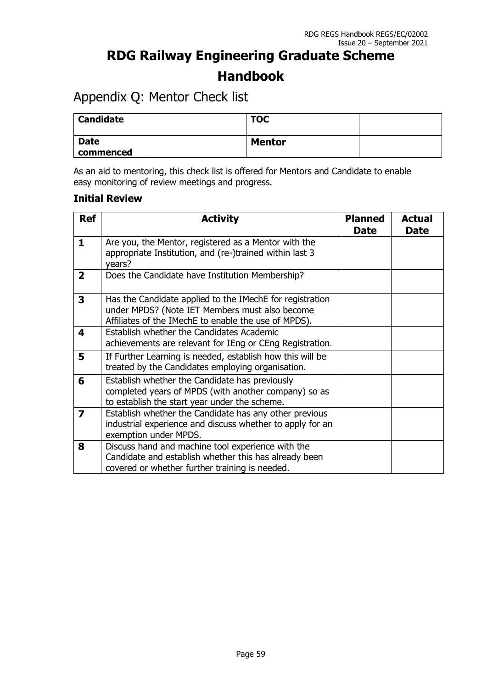### Appendix Q: Mentor Check list

| <b>Candidate</b>         | <b>TOC</b>    |  |
|--------------------------|---------------|--|
| <b>Date</b><br>commenced | <b>Mentor</b> |  |

As an aid to mentoring, this check list is offered for Mentors and Candidate to enable easy monitoring of review meetings and progress.

### **Initial Review**

| <b>Ref</b>              | <b>Activity</b>                                                                                                                                                    | <b>Planned</b><br><b>Date</b> | <b>Actual</b><br><b>Date</b> |
|-------------------------|--------------------------------------------------------------------------------------------------------------------------------------------------------------------|-------------------------------|------------------------------|
| $\mathbf{1}$            | Are you, the Mentor, registered as a Mentor with the<br>appropriate Institution, and (re-)trained within last 3<br>years?                                          |                               |                              |
| $\mathbf{2}$            | Does the Candidate have Institution Membership?                                                                                                                    |                               |                              |
| 3                       | Has the Candidate applied to the IMechE for registration<br>under MPDS? (Note IET Members must also become<br>Affiliates of the IMechE to enable the use of MPDS). |                               |                              |
| 4                       | Establish whether the Candidates Academic<br>achievements are relevant for IEng or CEng Registration.                                                              |                               |                              |
| 5                       | If Further Learning is needed, establish how this will be<br>treated by the Candidates employing organisation.                                                     |                               |                              |
| 6                       | Establish whether the Candidate has previously<br>completed years of MPDS (with another company) so as<br>to establish the start year under the scheme.            |                               |                              |
| $\overline{\mathbf{z}}$ | Establish whether the Candidate has any other previous<br>industrial experience and discuss whether to apply for an<br>exemption under MPDS.                       |                               |                              |
| 8                       | Discuss hand and machine tool experience with the<br>Candidate and establish whether this has already been<br>covered or whether further training is needed.       |                               |                              |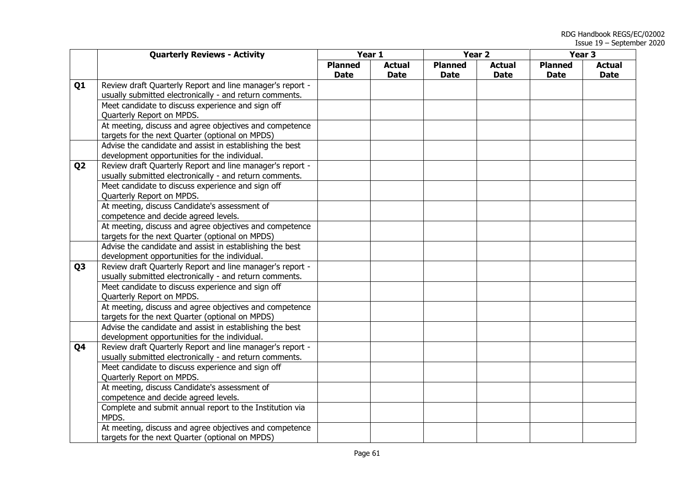|                | <b>Quarterly Reviews - Activity</b>                       | Year 1         |               | Year <sub>2</sub> |               | Year <sub>3</sub> |               |
|----------------|-----------------------------------------------------------|----------------|---------------|-------------------|---------------|-------------------|---------------|
|                |                                                           | <b>Planned</b> | <b>Actual</b> | <b>Planned</b>    | <b>Actual</b> | <b>Planned</b>    | <b>Actual</b> |
|                |                                                           | <b>Date</b>    | <b>Date</b>   | <b>Date</b>       | <b>Date</b>   | <b>Date</b>       | <b>Date</b>   |
| Q1             | Review draft Quarterly Report and line manager's report - |                |               |                   |               |                   |               |
|                | usually submitted electronically - and return comments.   |                |               |                   |               |                   |               |
|                | Meet candidate to discuss experience and sign off         |                |               |                   |               |                   |               |
|                | Quarterly Report on MPDS.                                 |                |               |                   |               |                   |               |
|                | At meeting, discuss and agree objectives and competence   |                |               |                   |               |                   |               |
|                | targets for the next Quarter (optional on MPDS)           |                |               |                   |               |                   |               |
|                | Advise the candidate and assist in establishing the best  |                |               |                   |               |                   |               |
|                | development opportunities for the individual.             |                |               |                   |               |                   |               |
| Q <sub>2</sub> | Review draft Quarterly Report and line manager's report - |                |               |                   |               |                   |               |
|                | usually submitted electronically - and return comments.   |                |               |                   |               |                   |               |
|                | Meet candidate to discuss experience and sign off         |                |               |                   |               |                   |               |
|                | Quarterly Report on MPDS.                                 |                |               |                   |               |                   |               |
|                | At meeting, discuss Candidate's assessment of             |                |               |                   |               |                   |               |
|                | competence and decide agreed levels.                      |                |               |                   |               |                   |               |
|                | At meeting, discuss and agree objectives and competence   |                |               |                   |               |                   |               |
|                | targets for the next Quarter (optional on MPDS)           |                |               |                   |               |                   |               |
|                | Advise the candidate and assist in establishing the best  |                |               |                   |               |                   |               |
|                | development opportunities for the individual.             |                |               |                   |               |                   |               |
| Q <sub>3</sub> | Review draft Quarterly Report and line manager's report - |                |               |                   |               |                   |               |
|                | usually submitted electronically - and return comments.   |                |               |                   |               |                   |               |
|                | Meet candidate to discuss experience and sign off         |                |               |                   |               |                   |               |
|                | Quarterly Report on MPDS.                                 |                |               |                   |               |                   |               |
|                | At meeting, discuss and agree objectives and competence   |                |               |                   |               |                   |               |
|                | targets for the next Quarter (optional on MPDS)           |                |               |                   |               |                   |               |
|                | Advise the candidate and assist in establishing the best  |                |               |                   |               |                   |               |
|                | development opportunities for the individual.             |                |               |                   |               |                   |               |
| Q4             | Review draft Quarterly Report and line manager's report - |                |               |                   |               |                   |               |
|                | usually submitted electronically - and return comments.   |                |               |                   |               |                   |               |
|                | Meet candidate to discuss experience and sign off         |                |               |                   |               |                   |               |
|                | Quarterly Report on MPDS.                                 |                |               |                   |               |                   |               |
|                | At meeting, discuss Candidate's assessment of             |                |               |                   |               |                   |               |
|                | competence and decide agreed levels.                      |                |               |                   |               |                   |               |
|                | Complete and submit annual report to the Institution via  |                |               |                   |               |                   |               |
|                | MPDS.                                                     |                |               |                   |               |                   |               |
|                | At meeting, discuss and agree objectives and competence   |                |               |                   |               |                   |               |
|                | targets for the next Quarter (optional on MPDS)           |                |               |                   |               |                   |               |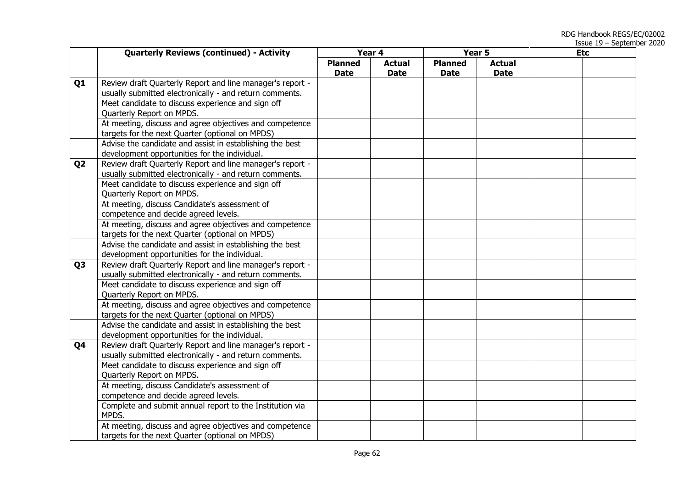|                | <b>Quarterly Reviews (continued) - Activity</b>           | Year 4         |               | Year 5         |               | <b>Etc</b> |
|----------------|-----------------------------------------------------------|----------------|---------------|----------------|---------------|------------|
|                |                                                           | <b>Planned</b> | <b>Actual</b> | <b>Planned</b> | <b>Actual</b> |            |
|                |                                                           | <b>Date</b>    | <b>Date</b>   | <b>Date</b>    | <b>Date</b>   |            |
| Q <sub>1</sub> | Review draft Quarterly Report and line manager's report - |                |               |                |               |            |
|                | usually submitted electronically - and return comments.   |                |               |                |               |            |
|                | Meet candidate to discuss experience and sign off         |                |               |                |               |            |
|                | Quarterly Report on MPDS.                                 |                |               |                |               |            |
|                | At meeting, discuss and agree objectives and competence   |                |               |                |               |            |
|                | targets for the next Quarter (optional on MPDS)           |                |               |                |               |            |
|                | Advise the candidate and assist in establishing the best  |                |               |                |               |            |
|                | development opportunities for the individual.             |                |               |                |               |            |
| Q <sub>2</sub> | Review draft Quarterly Report and line manager's report - |                |               |                |               |            |
|                | usually submitted electronically - and return comments.   |                |               |                |               |            |
|                | Meet candidate to discuss experience and sign off         |                |               |                |               |            |
|                | Quarterly Report on MPDS.                                 |                |               |                |               |            |
|                | At meeting, discuss Candidate's assessment of             |                |               |                |               |            |
|                | competence and decide agreed levels.                      |                |               |                |               |            |
|                | At meeting, discuss and agree objectives and competence   |                |               |                |               |            |
|                | targets for the next Quarter (optional on MPDS)           |                |               |                |               |            |
|                | Advise the candidate and assist in establishing the best  |                |               |                |               |            |
|                | development opportunities for the individual.             |                |               |                |               |            |
| Q <sub>3</sub> | Review draft Quarterly Report and line manager's report - |                |               |                |               |            |
|                | usually submitted electronically - and return comments.   |                |               |                |               |            |
|                | Meet candidate to discuss experience and sign off         |                |               |                |               |            |
|                | Quarterly Report on MPDS.                                 |                |               |                |               |            |
|                | At meeting, discuss and agree objectives and competence   |                |               |                |               |            |
|                | targets for the next Quarter (optional on MPDS)           |                |               |                |               |            |
|                | Advise the candidate and assist in establishing the best  |                |               |                |               |            |
|                | development opportunities for the individual.             |                |               |                |               |            |
| Q4             | Review draft Quarterly Report and line manager's report - |                |               |                |               |            |
|                | usually submitted electronically - and return comments.   |                |               |                |               |            |
|                | Meet candidate to discuss experience and sign off         |                |               |                |               |            |
|                | Quarterly Report on MPDS.                                 |                |               |                |               |            |
|                | At meeting, discuss Candidate's assessment of             |                |               |                |               |            |
|                | competence and decide agreed levels.                      |                |               |                |               |            |
|                | Complete and submit annual report to the Institution via  |                |               |                |               |            |
|                | MPDS.                                                     |                |               |                |               |            |
|                | At meeting, discuss and agree objectives and competence   |                |               |                |               |            |
|                | targets for the next Quarter (optional on MPDS)           |                |               |                |               |            |